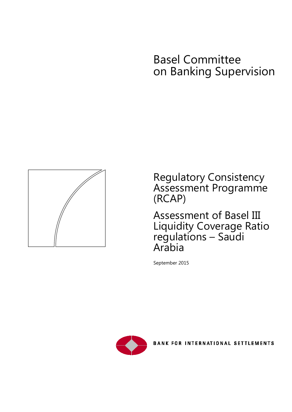# Basel Committee on Banking Supervision



Regulatory Consistency Assessment Programme (RCAP)

Assessment of Basel III Liquidity Coverage Ratio regulations – Saudi Arabia

September 2015



**BANK FOR INTERNATIONAL SETTLEMENTS**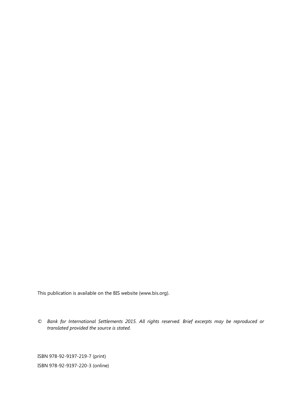This publication is available on the BIS website [\(www.bis.org\)](http://www.bis.org/).

*© Bank for International Settlements 2015. All rights reserved. Brief excerpts may be reproduced or translated provided the source is stated.*

ISBN 978-92-9197-219-7 (print) ISBN 978-92-9197-220-3 (online)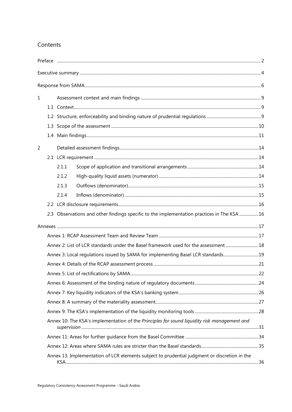### Contents

| $\mathbf{1}$   |                                                                                    |                                                                                              |  |  |
|----------------|------------------------------------------------------------------------------------|----------------------------------------------------------------------------------------------|--|--|
|                |                                                                                    |                                                                                              |  |  |
|                |                                                                                    |                                                                                              |  |  |
|                |                                                                                    |                                                                                              |  |  |
|                |                                                                                    |                                                                                              |  |  |
| $\overline{2}$ |                                                                                    |                                                                                              |  |  |
|                |                                                                                    |                                                                                              |  |  |
|                |                                                                                    | 2.1.1                                                                                        |  |  |
|                |                                                                                    | 2.1.2                                                                                        |  |  |
|                |                                                                                    | 2.1.3                                                                                        |  |  |
|                |                                                                                    | 2.1.4                                                                                        |  |  |
|                |                                                                                    |                                                                                              |  |  |
|                |                                                                                    | 2.3 Observations and other findings specific to the implementation practices in The KSA 16   |  |  |
|                |                                                                                    |                                                                                              |  |  |
|                |                                                                                    |                                                                                              |  |  |
|                | Annex 2: List of LCR standards under the Basel framework used for the assessment18 |                                                                                              |  |  |
|                |                                                                                    | Annex 3: Local regulations issued by SAMA for implementing Basel LCR standards19             |  |  |
|                |                                                                                    |                                                                                              |  |  |
|                |                                                                                    |                                                                                              |  |  |
|                |                                                                                    |                                                                                              |  |  |
|                |                                                                                    |                                                                                              |  |  |
|                |                                                                                    |                                                                                              |  |  |
|                |                                                                                    |                                                                                              |  |  |
|                |                                                                                    | Annex 10: The KSA's implementation of the Principles for sound liquidity risk management and |  |  |
|                |                                                                                    |                                                                                              |  |  |
|                |                                                                                    |                                                                                              |  |  |
|                |                                                                                    | Annex 13: Implementation of LCR elements subject to prudential judgment or discretion in the |  |  |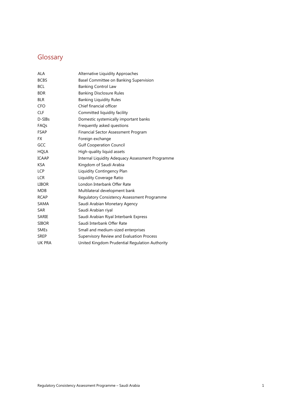## **Glossary**

| ALA          | Alternative Liquidity Approaches                 |
|--------------|--------------------------------------------------|
| <b>BCBS</b>  | Basel Committee on Banking Supervision           |
| <b>BCL</b>   | <b>Banking Control Law</b>                       |
| <b>BDR</b>   | <b>Banking Disclosure Rules</b>                  |
| <b>BLR</b>   | <b>Banking Liquidity Rules</b>                   |
| <b>CFO</b>   | Chief financial officer                          |
| CLF          | Committed liquidity facility                     |
| D-SIBs       | Domestic systemically important banks            |
| FAQs         | Frequently asked questions                       |
| <b>FSAP</b>  | Financial Sector Assessment Program              |
| FX           | Foreign exchange                                 |
| GCC          | <b>Gulf Cooperation Council</b>                  |
| <b>HQLA</b>  | High-quality liquid assets                       |
| ICAAP        | Internal Liquidity Adequacy Assessment Programme |
| <b>KSA</b>   | Kingdom of Saudi Arabia                          |
| LCP          | Liquidity Contingency Plan                       |
| <b>LCR</b>   | Liquidity Coverage Ratio                         |
| <b>LIBOR</b> | London Interbank Offer Rate                      |
| <b>MDB</b>   | Multilateral development bank                    |
| <b>RCAP</b>  | Regulatory Consistency Assessment Programme      |
| SAMA         | Saudi Arabian Monetary Agency                    |
| SAR          | Saudi Arabian riyal                              |
| SARIE        | Saudi Arabian Riyal Interbank Express            |
| <b>SIBOR</b> | Saudi Interbank Offer Rate                       |
| <b>SMEs</b>  | Small and medium-sized enterprises               |
| SREP         | Supervisory Review and Evaluation Process        |
| UK PRA       | United Kingdom Prudential Regulation Authority   |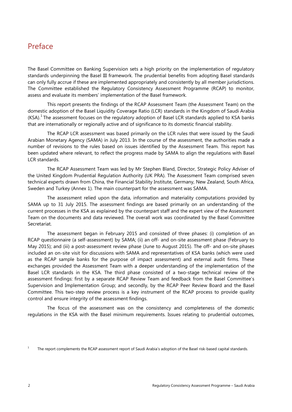## <span id="page-4-0"></span>Preface

The Basel Committee on Banking Supervision sets a high priority on the implementation of regulatory standards underpinning the Basel III framework. The prudential benefits from adopting Basel standards can only fully accrue if these are implemented appropriately and consistently by all member jurisdictions. The Committee established the Regulatory Consistency Assessment Programme (RCAP) to monitor, assess and evaluate its members' implementation of the Basel framework.

This report presents the findings of the RCAP Assessment Team (the Assessment Team) on the domestic adoption of the Basel Liquidity Coverage Ratio (LCR) standards in the Kingdom of Saudi Arabia  $(KSA).<sup>1</sup>$  $(KSA).<sup>1</sup>$  $(KSA).<sup>1</sup>$  The assessment focuses on the regulatory adoption of Basel LCR standards applied to KSA banks that are internationally or regionally active and of significance to its domestic financial stability.

The RCAP LCR assessment was based primarily on the LCR rules that were issued by the Saudi Arabian Monetary Agency (SAMA) in July 2013. In the course of the assessment, the authorities made a number of revisions to the rules based on issues identified by the Assessment Team. This report has been updated where relevant, to reflect the progress made by SAMA to align the regulations with Basel LCR standards.

The RCAP Assessment Team was led by Mr Stephen Bland, Director, Strategic Policy Adviser of the United Kingdom Prudential Regulation Authority (UK PRA). The Assessment Team comprised seven technical experts drawn from China, the Financial Stability Institute, Germany, New Zealand, South Africa, Sweden and Turkey (Annex 1). The main counterpart for the assessment was SAMA.

The assessment relied upon the data, information and materiality computations provided by SAMA up to 31 July 2015. The assessment findings are based primarily on an understanding of the current processes in the KSA as explained by the counterpart staff and the expert view of the Assessment Team on the documents and data reviewed. The overall work was coordinated by the Basel Committee Secretariat.

The assessment began in February 2015 and consisted of three phases: (i) completion of an RCAP questionnaire (a self-assessment) by SAMA; (ii) an off- and on-site assessment phase (February to May 2015); and (iii) a post-assessment review phase (June to August 2015). The off- and on-site phases included an on-site visit for discussions with SAMA and representatives of KSA banks (which were used as the RCAP sample banks for the purpose of impact assessment) and external audit firms. These exchanges provided the Assessment Team with a deeper understanding of the implementation of the Basel LCR standards in the KSA. The third phase consisted of a two-stage technical review of the assessment findings: first by a separate RCAP Review Team and feedback from the Basel Committee's Supervision and Implementation Group; and secondly, by the RCAP Peer Review Board and the Basel Committee. This two-step review process is a key instrument of the RCAP process to provide quality control and ensure integrity of the assessment findings.

The focus of the assessment was on the consistency and completeness of the domestic regulations in the KSA with the Basel minimum requirements. Issues relating to prudential outcomes,

<span id="page-4-1"></span><sup>&</sup>lt;sup>1</sup> The report complements the RCAP assessment report of Saudi Arabia's adoption of the Basel risk-based capital standards.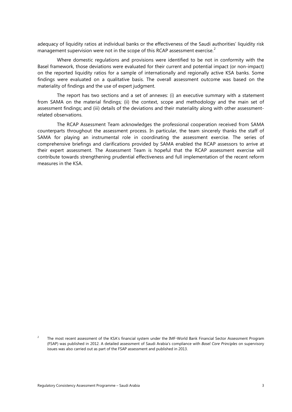adequacy of liquidity ratios at individual banks or the effectiveness of the Saudi authorities' liquidity risk management supervision were not in the scope of this RCAP assessment exercise.<sup>[2](#page-5-0)</sup>

Where domestic regulations and provisions were identified to be not in conformity with the Basel framework, those deviations were evaluated for their current and potential impact (or non-impact) on the reported liquidity ratios for a sample of internationally and regionally active KSA banks. Some findings were evaluated on a qualitative basis. The overall assessment outcome was based on the materiality of findings and the use of expert judgment.

The report has two sections and a set of annexes: (i) an executive summary with a statement from SAMA on the material findings; (ii) the context, scope and methodology and the main set of assessment findings; and (iii) details of the deviations and their materiality along with other assessmentrelated observations.

The RCAP Assessment Team acknowledges the professional cooperation received from SAMA counterparts throughout the assessment process. In particular, the team sincerely thanks the staff of SAMA for playing an instrumental role in coordinating the assessment exercise. The series of comprehensive briefings and clarifications provided by SAMA enabled the RCAP assessors to arrive at their expert assessment. The Assessment Team is hopeful that the RCAP assessment exercise will contribute towards strengthening prudential effectiveness and full implementation of the recent reform measures in the KSA.

<span id="page-5-0"></span><sup>&</sup>lt;sup>2</sup> The most recent assessment of the KSA's financial system under the IMF-World Bank Financial Sector Assessment Program (FSAP) was published in 2012. A detailed assessment of Saudi Arabia's compliance with *Basel Core Principles* on supervisory issues was also carried out as part of the FSAP assessment and published in 2013.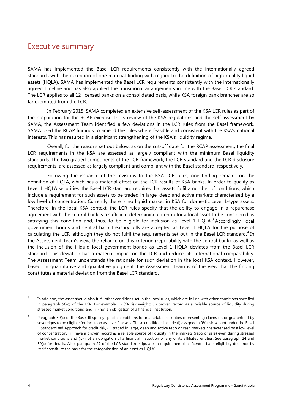## <span id="page-6-0"></span>Executive summary

SAMA has implemented the Basel LCR requirements consistently with the internationally agreed standards with the exception of one material finding with regard to the definition of high-quality liquid assets (HQLA). SAMA has implemented the Basel LCR requirements consistently with the internationally agreed timeline and has also applied the transitional arrangements in line with the Basel LCR standard. The LCR applies to all 12 licensed banks on a consolidated basis, while KSA foreign bank branches are so far exempted from the LCR.

In February 2015, SAMA completed an extensive self-assessment of the KSA LCR rules as part of the preparation for the RCAP exercise. In its review of the KSA regulations and the self-assessment by SAMA, the Assessment Team identified a few deviations in the LCR rules from the Basel framework. SAMA used the RCAP findings to amend the rules where feasible and consistent with the KSA's national interests. This has resulted in a significant strengthening of the KSA's liquidity regime.

Overall, for the reasons set out below, as on the cut-off date for the RCAP assessment, the final LCR requirements in the KSA are assessed as largely compliant with the minimum Basel liquidity standards. The two graded components of the LCR framework, the LCR standard and the LCR disclosure requirements, are assessed as largely compliant and compliant with the Basel standard, respectively.

Following the issuance of the revisions to the KSA LCR rules, one finding remains on the definition of HQLA, which has a material effect on the LCR results of KSA banks. In order to qualify as Level 1 HQLA securities, the Basel LCR standard requires that assets fulfil a number of conditions, which include a requirement for such assets to be traded in large, deep and active markets characterised by a low level of concentration. Currently there is no liquid market in KSA for domestic Level 1-type assets. Therefore, in the local KSA context, the LCR rules specify that the ability to engage in a repurchase agreement with the central bank is a sufficient determining criterion for a local asset to be considered as satisfying this condition and, thus, to be eligible for inclusion as Level 1 HQLA.<sup>[3](#page-6-1)</sup> Accordingly, local government bonds and central bank treasury bills are accepted as Level 1 HQLA for the purpose of calculating the LCR, although they do not fulfil the requirements set out in the Basel LCR standard.<sup>[4](#page-6-2)</sup> In the Assessment Team's view, the reliance on this criterion (repo-ability with the central bank), as well as the inclusion of the illiquid local government bonds as Level 1 HQLA deviates from the Basel LCR standard. This deviation has a material impact on the LCR and reduces its international comparability. The Assessment Team understands the rationale for such deviation in the local KSA context. However, based on quantitative and qualitative judgment, the Assessment Team is of the view that the finding constitutes a material deviation from the Basel LCR standard.

<span id="page-6-1"></span><sup>&</sup>lt;sup>3</sup> In addition, the asset should also fulfil other conditions set in the local rules, which are in line with other conditions specified in paragraph 50(c) of the LCR. For example: (i) 0% risk weight; (ii) proven record as a reliable source of liquidity during stressed market conditions; and (iii) not an obligation of a financial institution.

<span id="page-6-2"></span>Paragraph 50(c) of the Basel III specify specific conditions for marketable securities representing claims on or guaranteed by sovereigns to be eligible for inclusion as Level 1 assets. These conditions include (i) assigned a 0% risk-weight under the Basel II Standardised Approach for credit risk, (ii) traded in large, deep and active repo or cash markets characterised by a low level of concentration, (iii) have a proven record as a reliable source of liquidity in the markets (repo or sale) even during stressed market conditions and (iv) not an obligation of a financial institution or any of its affiliated entities. See paragraph 24 and 50(c) for details. Also, paragraph 27 of the LCR standard stipulates a requirement that "central bank eligibility does not by itself constitute the basis for the categorisation of an asset as HQLA".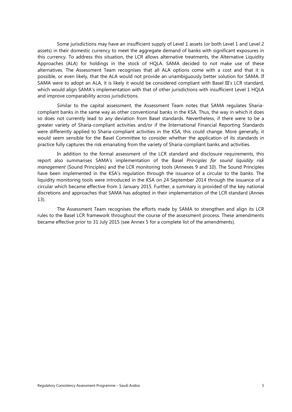Some jurisdictions may have an insufficient supply of Level 1 assets (or both Level 1 and Level 2 assets) in their domestic currency to meet the aggregate demand of banks with significant exposures in this currency. To address this situation, the LCR allows alternative treatments, the Alternative Liquidity Approaches (ALA) for holdings in the stock of HQLA. SAMA decided to not make use of these alternatives. The Assessment Team recognises that all ALA options come with a cost and that it is possible, or even likely, that the ALA would not provide an unambiguously better solution for SAMA. If SAMA were to adopt an ALA, it is likely it would be considered compliant with Basel III's LCR standard, which would align SAMA's implementation with that of other jurisdictions with insufficient Level 1 HQLA and improve comparability across jurisdictions.

Similar to the capital assessment, the Assessment Team notes that SAMA regulates Shariacompliant banks in the same way as other conventional banks in the KSA. Thus, the way in which it does so does not currently lead to any deviation from Basel standards. Nevertheless, if there were to be a greater variety of Sharia-compliant activities and/or if the International Financial Reporting Standards were differently applied to Sharia-compliant activities in the KSA, this could change. More generally, it would seem sensible for the Basel Committee to consider whether the application of its standards in practice fully captures the risk emanating from the variety of Sharia-compliant banks and activities.

In addition to the formal assessment of the LCR standard and disclosure requirements, this report also summarises SAMA's implementation of the Basel *Principles for sound liquidity risk management* (Sound Principles) and the LCR monitoring tools (Annexes 9 and 10). The Sound Principles have been implemented in the KSA's regulation through the issuance of a circular to the banks. The liquidity monitoring tools were introduced in the KSA on 24 September 2014 through the issuance of a circular which became effective from 1 January 2015. Further, a summary is provided of the key national discretions and approaches that SAMA has adopted in their implementation of the LCR standard (Annex 13).

The Assessment Team recognises the efforts made by SAMA to strengthen and align its LCR rules to the Basel LCR framework throughout the course of the assessment process. These amendments became effective prior to 31 July 2015 (see Annex 5 for a complete list of the amendments).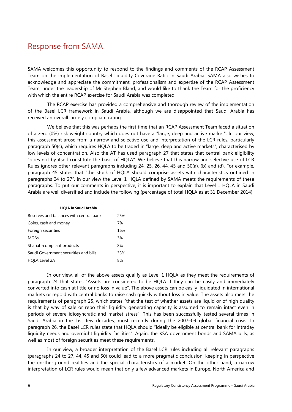## <span id="page-8-0"></span>Response from SAMA

SAMA welcomes this opportunity to respond to the findings and comments of the RCAP Assessment Team on the implementation of Basel Liquidity Coverage Ratio in Saudi Arabia. SAMA also wishes to acknowledge and appreciate the commitment, professionalism and expertise of the RCAP Assessment Team, under the leadership of Mr Stephen Bland, and would like to thank the Team for the proficiency with which the entire RCAP exercise for Saudi Arabia was completed.

The RCAP exercise has provided a comprehensive and thorough review of the implementation of the Basel LCR framework in Saudi Arabia, although we are disappointed that Saudi Arabia has received an overall largely compliant rating.

We believe that this was perhaps the first time that an RCAP Assessment Team faced a situation of a zero (0%) risk weight country which does not have a "large, deep and active market". In our view, this assessment arose from a narrow and selective use and interpretation of the LCR rules, particularly paragraph 50(c), which requires HQLA to be traded in "large, deep and active markets", characterised by low levels of concentration. Also the AT has used paragraph 27 that states that central bank eligibility "does not by itself constitute the basis of HQLA". We believe that this narrow and selective use of LCR Rules ignores other relevant paragraphs including 24, 25, 26, 44, 45 and 50(a), (b) and (d). For example, paragraph 45 states that "the stock of HQLA should comprise assets with characteristics outlined in paragraphs 24 to 27". In our view the Level 1 HQLA defined by SAMA meets the requirements of these paragraphs. To put our comments in perspective, it is important to explain that Level 1 HQLA in Saudi Arabia are well diversified and include the following (percentage of total HQLA as at 31 December 2014):

#### **HQLA in Saudi Arabia**

| Reserves and balances with central bank | 25% |
|-----------------------------------------|-----|
| Coins, cash and money                   | 7%  |
| Foreign securities                      | 16% |
| <b>MDBs</b>                             | 3%  |
| Shariah-compliant products              | 8%  |
| Saudi Government securities and bills   | 33% |
| <b>HOLA Level 2A</b>                    | 8%  |

In our view, all of the above assets qualify as Level 1 HQLA as they meet the requirements of paragraph 24 that states "Assets are considered to be HQLA if they can be easily and immediately converted into cash at little or no loss in value". The above assets can be easily liquidated in international markets or repo'd with central banks to raise cash quickly without loss in value. The assets also meet the requirements of paragraph 25, which states "that the test of whether assets are liquid or of high quality is that by way of sale or repo their liquidity generating capacity is assumed to remain intact even in periods of severe idiosyncratic and market stress". This has been successfully tested several times in Saudi Arabia in the last few decades, most recently during the 2007–09 global financial crisis. In paragraph 26, the Basel LCR rules state that HQLA should "ideally be eligible at central bank for intraday liquidity needs and overnight liquidity facilities". Again, the KSA government bonds and SAMA bills, as well as most of foreign securities meet these requirements.

In our view, a broader interpretation of the Basel LCR rules including all relevant paragraphs (paragraphs 24 to 27, 44, 45 and 50) could lead to a more pragmatic conclusion, keeping in perspective the on-the-ground realities and the special characteristics of a market. On the other hand, a narrow interpretation of LCR rules would mean that only a few advanced markets in Europe, North America and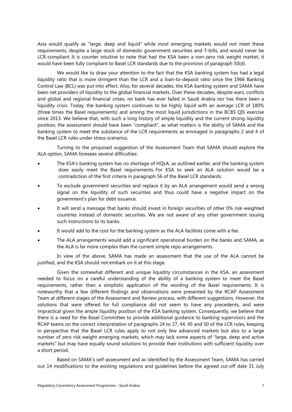Asia would qualify as "large, deep and liquid" while most emerging markets would not meet these requirements, despite a large stock of domestic government securities and T-bills, and would never be LCR-compliant. It is counter intuitive to note that had the KSA been a non-zero risk weight market, it would have been fully compliant to Basel LCR standards due to the provision of paragraph 50(d).

We would like to draw your attention to the fact that the KSA banking system has had a legal liquidity ratio that is more stringent than the LCR and a loan-to-deposit ratio since the 1966 Banking Control Law (BCL) was put into effect. Also, for several decades, the KSA banking system and SAMA have been net providers of liquidity to the global financial markets. Over these decades, despite wars, conflicts and global and regional financial crises, no bank has ever failed in Saudi Arabia nor has there been a liquidity crisis. Today, the banking system continues to be highly liquid with an average LCR of 180% (three times the Basel requirements) and among the most liquid jurisdictions in the BCBS QIS exercise since 2013. We believe that, with such a long history of ample liquidity and the current strong liquidity position, the assessment should have been "compliant", as what matters is the ability of SAMA and the banking system to meet the substance of the LCR requirements as envisaged in paragraphs 2 and 4 of the Basel LCR rules under stress scenarios.

Turning to the proposed suggestion of the Assessment Team that SAMA should explore the ALA option, SAMA foresees several difficulties:

- The KSA's banking system has no shortage of HQLA, as outlined earlier, and the banking system does easily meet the Basel requirements. For KSA to seek an ALA solution would be a contradiction of the first criteria in paragraph 56 of the Basel LCR standards.
- To exclude government securities and replace it by an ALA arrangement would send a wrong signal on the liquidity of such securities and thus could have a negative impact on the government's plan for debt issuance.
- It will send a message that banks should invest in foreign securities of other 0% risk-weighted countries instead of domestic securities. We are not aware of any other government issuing such instructions to its banks.
- It would add to the cost for the banking system as the ALA facilities come with a fee.
- The ALA arrangements would add a significant operational burden on the banks and SAMA, as the ALA is far more complex than the current simple repo arrangements.

In view of the above, SAMA has made an assessment that the use of the ALA cannot be justified, and the KSA should not embark on it at this stage.

Given the somewhat different and unique liquidity circumstances in the KSA, an assessment needed to focus on a careful understanding of the ability of a banking system to meet the Basel requirements, rather than a simplistic application of the wording of the Basel requirements. It is noteworthy that a few different findings and observations were presented by the RCAP Assessment Team at different stages of the Assessment and Review process, with different suggestions. However, the solutions that were offered for full compliance did not seem to have any precedents, and were impractical given the ample liquidity position of the KSA banking system. Consequently, we believe that there is a need for the Basel Committee to provide additional guidance to banking supervisors and the RCAP teams on the correct interpretation of paragraphs 24 to 27, 44, 45 and 50 of the LCR rules, keeping in perspective that the Basel LCR rules apply to not only few advanced markets but also to a large number of zero risk weight emerging markets, which may lack some aspects of "large, deep and active markets" but may have equally sound solutions to provide their institutions with sufficient liquidity over a short period.

Based on SAMA's self-assessment and as identified by the Assessment Team, SAMA has carried out 14 modifications to the existing regulations and guidelines before the agreed cut-off date 31 July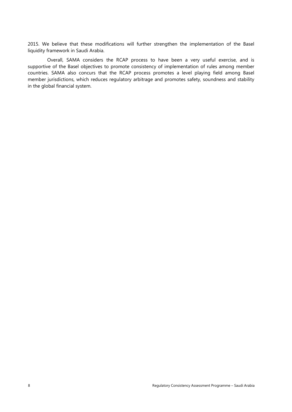2015. We believe that these modifications will further strengthen the implementation of the Basel liquidity framework in Saudi Arabia.

Overall, SAMA considers the RCAP process to have been a very useful exercise, and is supportive of the Basel objectives to promote consistency of implementation of rules among member countries. SAMA also concurs that the RCAP process promotes a level playing field among Basel member jurisdictions, which reduces regulatory arbitrage and promotes safety, soundness and stability in the global financial system.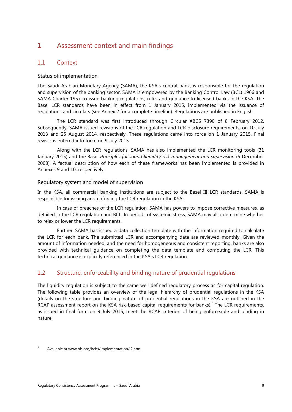### <span id="page-11-0"></span>1 Assessment context and main findings

#### <span id="page-11-1"></span>1.1 Context

#### Status of implementation

The Saudi Arabian Monetary Agency (SAMA), the KSA's central bank, is responsible for the regulation and supervision of the banking sector. SAMA is empowered by the Banking Control Law (BCL) 1966 and SAMA Charter 1957 to issue banking regulations, rules and guidance to licensed banks in the KSA. The Basel LCR standards have been in effect from 1 January 2015, implemented via the issuance of regulations and circulars (see Annex 2 for a complete timeline). Regulations are published in English.

The LCR standard was first introduced through Circular #BCS 7390 of 8 February 2012. Subsequently, SAMA issued revisions of the LCR regulation and LCR disclosure requirements, on 10 July 2013 and 25 August 2014, respectively. These regulations came into force on 1 January 2015. Final revisions entered into force on 9 July 2015.

Along with the LCR regulations, SAMA has also implemented the LCR monitoring tools (31 January 2015) and the Basel *Principles for sound liquidity risk management and supervision* (5 December 2008). A factual description of how each of these frameworks has been implemented is provided in Annexes 9 and 10, respectively.

#### Regulatory system and model of supervision

In the KSA, all commercial banking institutions are subject to the Basel III LCR standards. SAMA is responsible for issuing and enforcing the LCR regulation in the KSA.

In case of breaches of the LCR regulation, SAMA has powers to impose corrective measures, as detailed in the LCR regulation and BCL. In periods of systemic stress, SAMA may also determine whether to relax or lower the LCR requirements.

Further, SAMA has issued a data collection template with the information required to calculate the LCR for each bank. The submitted LCR and accompanying data are reviewed monthly. Given the amount of information needed, and the need for homogeneous and consistent reporting, banks are also provided with technical guidance on completing the data template and computing the LCR. This technical guidance is explicitly referenced in the KSA's LCR regulation.

### <span id="page-11-2"></span>1.2 Structure, enforceability and binding nature of prudential regulations

The liquidity regulation is subject to the same well defined regulatory process as for capital regulation. The following table provides an overview of the legal hierarchy of prudential regulations in the KSA (details on the structure and binding nature of prudential regulations in the KSA are outlined in the RCAP assessment report on the KSA risk-based capital requirements for banks).<sup>[5](#page-11-3)</sup> The LCR requirements, as issued in final form on 9 July 2015, meet the RCAP criterion of being enforceable and binding in nature.

<span id="page-11-3"></span><sup>5</sup> Available at www.bis.org/bcbs/implementation/l2.htm.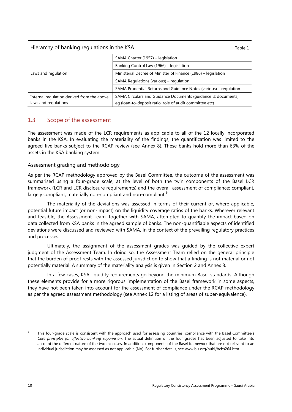#### Hierarchy of banking regulations in the KSA Table 1 and the SA Table 1 and the Table 1

|                                            | SAMA Charter (1957) - legislation                                 |
|--------------------------------------------|-------------------------------------------------------------------|
|                                            | Banking Control Law (1966) - legislation                          |
| Laws and regulation                        | Ministerial Decree of Minister of Finance (1986) – legislation    |
|                                            | SAMA Regulations (various) - regulation                           |
|                                            | SAMA Prudential Returns and Guidance Notes (various) – regulation |
| Internal regulation derived from the above | SAMA Circulars and Guidance Documents (quidance & documents)      |
| laws and regulations                       | eq (loan-to-deposit ratio, role of audit committee etc)           |

### <span id="page-12-0"></span>1.3 Scope of the assessment

The assessment was made of the LCR requirements as applicable to all of the 12 locally incorporated banks in the KSA. In evaluating the materiality of the findings, the quantification was limited to the agreed five banks subject to the RCAP review (see Annex 8). These banks hold more than 63% of the assets in the KSA banking system.

#### Assessment grading and methodology

As per the RCAP methodology approved by the Basel Committee, the outcome of the assessment was summarised using a four-grade scale, at the level of both the twin components of the Basel LCR framework (LCR and LCR disclosure requirements) and the overall assessment of compliance: compliant, largely compliant, materially non-compliant and non-compliant.<sup>[6](#page-12-1)</sup>

The materiality of the deviations was assessed in terms of their current or, where applicable, potential future impact (or non-impact) on the liquidity coverage ratios of the banks. Wherever relevant and feasible, the Assessment Team, together with SAMA, attempted to quantify the impact based on data collected from KSA banks in the agreed sample of banks. The non-quantifiable aspects of identified deviations were discussed and reviewed with SAMA, in the context of the prevailing regulatory practices and processes.

Ultimately, the assignment of the assessment grades was guided by the collective expert judgment of the Assessment Team. In doing so, the Assessment Team relied on the general principle that the burden of proof rests with the assessed jurisdiction to show that a finding is not material or not potentially material. A summary of the materiality analysis is given in Section 2 and Annex 8.

In a few cases, KSA liquidity requirements go beyond the minimum Basel standards. Although these elements provide for a more rigorous implementation of the Basel framework in some aspects, they have not been taken into account for the assessment of compliance under the RCAP methodology as per the agreed assessment methodology (see Annex 12 for a listing of areas of super-equivalence).

<span id="page-12-1"></span>This four-grade scale is consistent with the approach used for assessing countries' compliance with the Basel Committee's *Core principles for effective banking supervision*. The actual definition of the four grades has been adjusted to take into account the different nature of the two exercises. In addition, components of the Basel framework that are not relevant to an individual jurisdiction may be assessed as not applicable (NA). For further details, see [www.bis.org/publ/bcbs264.htm.](http://www.bis.org/publ/bcbs264.htm)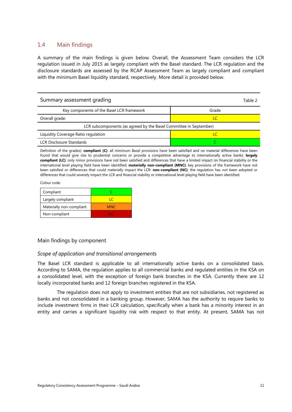#### <span id="page-13-0"></span>1.4 Main findings

A summary of the main findings is given below. Overall, the Assessment Team considers the LCR regulation issued in July 2015 as largely compliant with the Basel standard. The LCR regulation and the disclosure standards are assessed by the RCAP Assessment Team as largely compliant and compliant with the minimum Basel liquidity standard, respectively. More detail is provided below.

| Summary assessment grading<br>Table 2                             |       |  |
|-------------------------------------------------------------------|-------|--|
| Key components of the Basel LCR framework                         | Grade |  |
| Overall grade:                                                    |       |  |
| LCR subcomponents (as agreed by the Basel Committee in September) |       |  |
| Liquidity Coverage Ratio regulation                               |       |  |
| <b>LCR Disclosure Standards</b>                                   |       |  |

Definition of the grades): **compliant (C)**: all minimum Basel provisions have been satisfied and no material differences have been found that would give rise to prudential concerns or provide a competitive advantage to internationally active banks; **largely compliant (LC)**: only minor provisions have not been satisfied and differences that have a limited impact on financial stability or the international level playing field have been identified; **materially non-compliant (MNC)**: key provisions of the framework have not been satisfied or differences that could materially impact the LCR: **non-compliant (NC)**: the regulation has not been adopted or differences that could severely impact the LCR and financial stability or international level playing field have been identified.

Colour code:

| Compliant                |            |
|--------------------------|------------|
| Largely compliant        |            |
| Materially non-compliant | <b>MNC</b> |
| Non-compliant            | NC         |

#### Main findings by component

#### *Scope of application and transitional arrangements*

The Basel LCR standard is applicable to all internationally active banks on a consolidated basis. According to SAMA, the regulation applies to all commercial banks and regulated entities in the KSA on a consolidated level, with the exception of foreign bank branches in the KSA. Currently there are 12 locally incorporated banks and 12 foreign branches registered in the KSA.

The regulation does not apply to investment entities that are not subsidiaries, not registered as banks and not consolidated in a banking group. However, SAMA has the authority to require banks to include investment firms in their LCR calculation, specifically when a bank has a minority interest in an entity and carries a significant liquidity risk with respect to that entity. At present, SAMA has not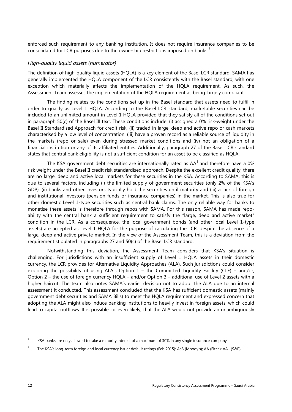enforced such requirement to any banking institution. It does not require insurance companies to be consolidated for LCR purposes due to the ownership restrictions imposed on banks.<sup>[7](#page-14-0)</sup>

#### *High-quality liquid assets (numerator)*

The definition of high-quality liquid assets (HQLA) is a key element of the Basel LCR standard. SAMA has generally implemented the HQLA component of the LCR consistently with the Basel standard, with one exception which materially affects the implementation of the HQLA requirement. As such, the Assessment Team assesses the implementation of the HQLA requirement as being largely compliant.

The finding relates to the conditions set up in the Basel standard that assets need to fulfil in order to qualify as Level 1 HQLA. According to the Basel LCR standard, marketable securities can be included to an unlimited amount in Level 1 HQLA provided that they satisfy all of the conditions set out in paragraph 50(c) of the Basel III text. These conditions include: (i) assigned a 0% risk-weight under the Basel II Standardised Approach for credit risk, (ii) traded in large, deep and active repo or cash markets characterised by a low level of concentration, (iii) have a proven record as a reliable source of liquidity in the markets (repo or sale) even during stressed market conditions and (iv) not an obligation of a financial institution or any of its affiliated entities. Additionally, paragraph 27 of the Basel LCR standard states that central bank eligibility is not a sufficient condition for an asset to be classified as HQLA.

The KSA government debt securities are internationally rated as  $AA^8$  $AA^8$  and therefore have a 0% risk weight under the Basel II credit risk standardised approach. Despite the excellent credit quality, there are no large, deep and active local markets for these securities in the KSA. According to SAMA, this is due to several factors, including (i) the limited supply of government securities (only 2% of the KSA's GDP), (ii) banks and other investors typically hold the securities until maturity and (iii) a lack of foreign and institutional investors (pension funds or insurance companies) in the market. This is also true for other domestic Level 1-type securities such as central bank claims. The only reliable way for banks to monetise these assets is therefore through repos with SAMA. For this reason, SAMA has made repoability with the central bank a sufficient requirement to satisfy the "large, deep and active market" condition in the LCR. As a consequence, the local government bonds (and other local Level 1-type assets) are accepted as Level 1 HQLA for the purpose of calculating the LCR, despite the absence of a large, deep and active private market. In the view of the Assessment Team, this is a deviation from the requirement stipulated in paragraphs 27 and 50(c) of the Basel LCR standard.

Notwithstanding this deviation, the Assessment Team considers that KSA's situation is challenging. For jurisdictions with an insufficient supply of Level 1 HQLA assets in their domestic currency, the LCR provides for Alternative Liquidity Approaches (ALA). Such jurisdictions could consider exploring the possibility of using ALA's Option  $1$  – the Committed Liquidity Facility (CLF) – and/or, Option 2 – the use of foreign currency HQLA – and/or Option 3 – additional use of Level 2 assets with a higher haircut. The team also notes SAMA's earlier decision not to adopt the ALA due to an internal assessment it conducted. This assessment concluded that the KSA has sufficient domestic assets (mainly government debt securities and SAMA Bills) to meet the HQLA requirement and expressed concern that adopting the ALA might also induce banking institutions to heavily invest in foreign assets, which could lead to capital outflows. It is possible, or even likely, that the ALA would not provide an unambiguously

<span id="page-14-0"></span><sup>&</sup>lt;sup>7</sup> KSA banks are only allowed to take a minority interest of a maximum of 30% in any single insurance company.

<span id="page-14-1"></span><sup>8</sup> The KSA's long-term foreign and local currency issuer default ratings (Feb 2015): Aa3 (Moody's); AA (Fitch); AA– (S&P).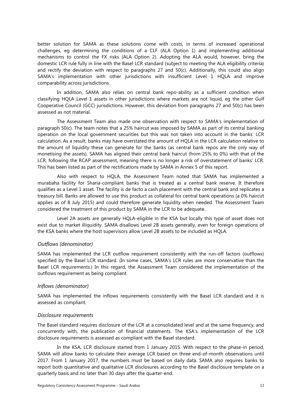better solution for SAMA as these solutions come with costs, in terms of increased operational challenges, eg determining the conditions of a CLF (ALA Option 1) and implementing additional mechanisms to control the FX risks (ALA Option 2). Adopting the ALA would, however, bring the domestic LCR rule fully in line with the Basel LCR standard (subject to meeting the ALA eligibility criteria) and rectify the deviation with respect to paragraphs 27 and 50(c). Additionally, this could also align SAMA's implementation with other jurisdictions with insufficient Level 1 HQLA and improve comparability across jurisdictions.

In addition, SAMA also relies on central bank repo-ability as a sufficient condition when classifying HQLA Level 1 assets in other jurisdictions where markets are not liquid, eg the other Gulf Cooperative Council (GCC) jurisdictions. However, this deviation from paragraphs 27 and 50(c) has been assessed as not material.

The Assessment Team also made one observation with respect to SAMA's implementation of paragraph 50(c). The team notes that a 25% haircut was imposed by SAMA as part of its central banking operation on the local government securities but this was not taken into account in the banks' LCR calculation. As a result, banks may have overstated the amount of HQLA in the LCR calculation relative to the amount of liquidity these can generate for the banks (as central bank repos are the only way of monetising the assets). SAMA has aligned their central bank haircut (from 25% to 0%) with that of the LCR, following the RCAP assessment, meaning there is no longer a risk of overstatement of banks' LCR. This has been listed as part of the rectifications made by SAMA in Annex 5 of this report.

Also with respect to HQLA, the Assessment Team noted that SAMA has implemented a murabaha facility for Sharia-compliant banks that is treated as a central bank reserve. It therefore qualifies as a Level 1 asset. The facility is de facto a cash placement with the central bank and replicates a treasury bill. Banks are allowed to use this product as collateral for central bank operations (a 0% haircut applies as of 8 July 2015) and could therefore generate liquidity when needed. The Assessment Team considered the treatment of this product by SAMA in the LCR to be adequate.

Level 2A assets are generally HQLA-eligible in the KSA but locally this type of asset does not exist due to market illiquidity. SAMA disallows Level 2B assets generally, even for foreign operations of the KSA banks where the host supervisors allow Level 2B assets to be included as HQLA.

#### *Outflows (denominator)*

SAMA has implemented the LCR outflow requirement consistently with the run-off factors (outflows) specified by the Basel LCR standard. (In some cases, SAMA's LCR rules are more conservative than the Basel LCR requirements.) In this regard, the Assessment Team considered the implementation of the outflows requirement as being compliant.

#### *Inflows (denominator)*

SAMA has implemented the inflows requirements consistently with the Basel LCR standard and it is assessed as compliant.

#### *Disclosure requirements*

The Basel standard requires disclosure of the LCR at a consolidated level and at the same frequency, and concurrently with, the publication of financial statements. The KSA's implementation of the LCR disclosure requirements is assessed as compliant with the Basel standard.

In the KSA, LCR disclosure started from 1 January 2015. With respect to the phase-in period, SAMA will allow banks to calculate their average LCR based on three end-of-month observations until 2017. From 1 January 2017, the numbers must be based on daily data. SAMA also requires banks to report both quantitative and qualitative LCR disclosures according to the Basel disclosure template on a quarterly basis and no later than 30 days after the quarter-end.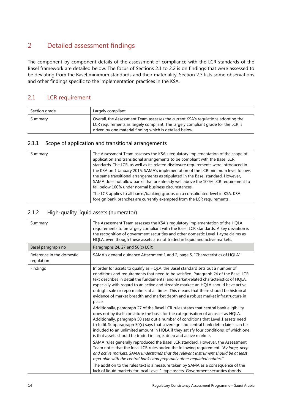## <span id="page-16-0"></span>2 Detailed assessment findings

The component-by-component details of the assessment of compliance with the LCR standards of the Basel framework are detailed below. The focus of Sections 2.1 to 2.2 is on findings that were assessed to be deviating from the Basel minimum standards and their materiality. Section 2.3 lists some observations and other findings specific to the implementation practices in the KSA.

### <span id="page-16-1"></span>2.1 LCR requirement

| Section grade | Largely compliant                                                                                                                                                                                                                |
|---------------|----------------------------------------------------------------------------------------------------------------------------------------------------------------------------------------------------------------------------------|
| Summary       | Overall, the Assessment Team assesses the current KSA's regulations adopting the<br>LCR requirements as largely compliant. The largely compliant grade for the LCR is<br>driven by one material finding which is detailed below. |

#### <span id="page-16-2"></span>2.1.1 Scope of application and transitional arrangements

| Summary | The Assessment Team assesses the KSA's regulatory implementation of the scope of<br>application and transitional arrangements to be compliant with the Basel LCR<br>standards. The LCR, as well as its related disclosure requirements were introduced in<br>the KSA on 1 January 2015. SAMA's implementation of the LCR minimum level follows<br>the same transitional arrangements as stipulated in the Basel standard. However,<br>SAMA does not allow banks that are already well above the 100% LCR requirement to<br>fall below 100% under normal business circumstances. |
|---------|---------------------------------------------------------------------------------------------------------------------------------------------------------------------------------------------------------------------------------------------------------------------------------------------------------------------------------------------------------------------------------------------------------------------------------------------------------------------------------------------------------------------------------------------------------------------------------|
|         | The LCR applies to all banks/banking groups on a consolidated level in KSA. KSA<br>foreign bank branches are currently exempted from the LCR requirements.                                                                                                                                                                                                                                                                                                                                                                                                                      |

#### <span id="page-16-3"></span>2.1.2 High-quality liquid assets (numerator)

| Summary                                 | The Assessment Team assesses the KSA's regulatory implementation of the HQLA<br>requirements to be largely compliant with the Basel LCR standards. A key deviation is<br>the recognition of government securities and other domestic Level 1-type claims as<br>HQLA, even though these assets are not traded in liquid and active markets.                                                                                                                                                                                                                                                                                                                                                                                                                                                                                                                                                                                                                                                                                                                                                                                                                                                                                                                                                                                                                                                                                                                                                                                                                                                                   |
|-----------------------------------------|--------------------------------------------------------------------------------------------------------------------------------------------------------------------------------------------------------------------------------------------------------------------------------------------------------------------------------------------------------------------------------------------------------------------------------------------------------------------------------------------------------------------------------------------------------------------------------------------------------------------------------------------------------------------------------------------------------------------------------------------------------------------------------------------------------------------------------------------------------------------------------------------------------------------------------------------------------------------------------------------------------------------------------------------------------------------------------------------------------------------------------------------------------------------------------------------------------------------------------------------------------------------------------------------------------------------------------------------------------------------------------------------------------------------------------------------------------------------------------------------------------------------------------------------------------------------------------------------------------------|
| Basel paragraph no                      | Paragraphs 24, 27 and 50(c) LCR:                                                                                                                                                                                                                                                                                                                                                                                                                                                                                                                                                                                                                                                                                                                                                                                                                                                                                                                                                                                                                                                                                                                                                                                                                                                                                                                                                                                                                                                                                                                                                                             |
| Reference in the domestic<br>regulation | SAMA's general guidance Attachment 1 and 2, page 5, "Characteristics of HQLA"                                                                                                                                                                                                                                                                                                                                                                                                                                                                                                                                                                                                                                                                                                                                                                                                                                                                                                                                                                                                                                                                                                                                                                                                                                                                                                                                                                                                                                                                                                                                |
| Findings                                | In order for assets to qualify as HQLA, the Basel standard sets out a number of<br>conditions and requirements that need to be satisfied. Paragraph 24 of the Basel LCR<br>text describes in detail the fundamental and market-related characteristics of HQLA,<br>especially with regard to an active and sizeable market: an HQLA should have active<br>outright sale or repo markets at all times. This means that there should be historical<br>evidence of market breadth and market depth and a robust market infrastructure in<br>place.<br>Additionally, paragraph 27 of the Basel LCR rules states that central bank eligibility<br>does not by itself constitute the basis for the categorisation of an asset as HQLA.<br>Additionally, paragraph 50 sets out a number of conditions that Level 1 assets need<br>to fulfil. Subparagraph 50(c) says that sovereign and central bank debt claims can be<br>included to an unlimited amount in HQLA if they satisfy four conditions, of which one<br>is that assets should be traded in large, deep and active markets.<br>SAMA rules generally reproduced the Basel LCR standard. However, the Assessment<br>Team notes that the local LCR rules added the following requirement: "By large, deep<br>and active markets, SAMA understands that the relevant instrument should be at least<br>repo-able with the central banks and preferably other regulated entities."<br>The addition to the rules text is a measure taken by SAMA as a consequence of the<br>lack of liquid markets for local Level 1-type assets. Government securities (bonds, |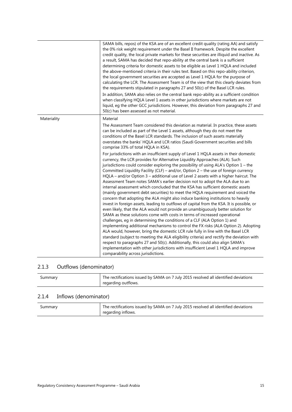|             | SAMA bills, repos) of the KSA are of an excellent credit quality (rating AA) and satisfy<br>the 0% risk weight requirement under the Basel II framework. Despite the excellent<br>credit quality, the local private markets for these securities are illiquid and inactive. As<br>a result, SAMA has decided that repo-ability at the central bank is a sufficient<br>determining criteria for domestic assets to be eligible as Level 1 HQLA and included<br>the above-mentioned criteria in their rules text. Based on this repo-ability criterion,<br>the local government securities are accepted as Level 1 HQLA for the purpose of<br>calculating the LCR. The Assessment Team is of the view that this clearly deviates from<br>the requirements stipulated in paragraphs 27 and 50(c) of the Basel LCR rules.<br>In addition, SAMA also relies on the central bank repo-ability as a sufficient condition<br>when classifying HQLA Level 1 assets in other jurisdictions where markets are not<br>liquid, eg the other GCC jurisdictions. However, this deviation from paragraphs 27 and<br>50(c) has been assessed as not material.                                                                                                                                                                                                                                                                                                                                                                                                                                                                                                                                                                                                                                                                                                                                                                                                                                                                            |
|-------------|-------------------------------------------------------------------------------------------------------------------------------------------------------------------------------------------------------------------------------------------------------------------------------------------------------------------------------------------------------------------------------------------------------------------------------------------------------------------------------------------------------------------------------------------------------------------------------------------------------------------------------------------------------------------------------------------------------------------------------------------------------------------------------------------------------------------------------------------------------------------------------------------------------------------------------------------------------------------------------------------------------------------------------------------------------------------------------------------------------------------------------------------------------------------------------------------------------------------------------------------------------------------------------------------------------------------------------------------------------------------------------------------------------------------------------------------------------------------------------------------------------------------------------------------------------------------------------------------------------------------------------------------------------------------------------------------------------------------------------------------------------------------------------------------------------------------------------------------------------------------------------------------------------------------------------------------------------------------------------------------------------------------------|
| Materiality | Material<br>The Assessment Team considered this deviation as material. In practice, these assets<br>can be included as part of the Level 1 assets, although they do not meet the<br>conditions of the Basel LCR standards. The inclusion of such assets materially<br>overstates the banks' HQLA and LCR ratios (Saudi Government securities and bills<br>comprise 33% of total HQLA in KSA).<br>For jurisdictions with an insufficient supply of Level 1 HQLA assets in their domestic<br>currency, the LCR provides for Alternative Liquidity Approaches (ALA). Such<br>jurisdictions could consider exploring the possibility of using ALA's Option 1 - the<br>Committed Liquidity Facility (CLF) - and/or, Option 2 - the use of foreign currency<br>HQLA – and/or Option 3 – additional use of Level 2 assets with a higher haircut. The<br>Assessment Team notes SAMA's earlier decision not to adopt the ALA due to an<br>internal assessment which concluded that the KSA has sufficient domestic assets<br>(mainly government debt securities) to meet the HQLA requirement and voiced the<br>concern that adopting the ALA might also induce banking institutions to heavily<br>invest in foreign assets, leading to outflows of capital from the KSA. It is possible, or<br>even likely, that the ALA would not provide an unambiguously better solution for<br>SAMA as these solutions come with costs in terms of increased operational<br>challenges, eg in determining the conditions of a CLF (ALA Option 1) and<br>implementing additional mechanisms to control the FX risks (ALA Option 2). Adopting<br>ALA would, however, bring the domestic LCR rule fully in line with the Basel LCR<br>standard (subject to meeting the ALA eligibility criteria) and rectify the deviation with<br>respect to paragraphs 27 and 50(c). Additionally, this could also align SAMA's<br>implementation with other jurisdictions with insufficient Level 1 HQLA and improve<br>comparability across jurisdictions. |

## <span id="page-17-0"></span>2.1.3 Outflows (denominator)

| Summary | The rectifications issued by SAMA on 7 July 2015 resolved all identified deviations |
|---------|-------------------------------------------------------------------------------------|
|         | regarding outflows.                                                                 |

### <span id="page-17-1"></span>2.1.4 Inflows (denominator)

| Summary | The rectifications issued by SAMA on 7 July 2015 resolved all identified deviations<br>regarding inflows. |
|---------|-----------------------------------------------------------------------------------------------------------|
|         |                                                                                                           |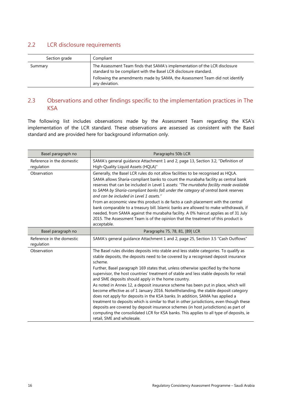### <span id="page-18-0"></span>2.2 LCR disclosure requirements

| Section grade | Compliant                                                                                                                                                                                                                                       |
|---------------|-------------------------------------------------------------------------------------------------------------------------------------------------------------------------------------------------------------------------------------------------|
| Summary       | The Assessment Team finds that SAMA's implementation of the LCR disclosure<br>standard to be compliant with the Basel LCR disclosure standard.<br>Following the amendments made by SAMA, the Assessment Team did not identify<br>any deviation. |

### <span id="page-18-1"></span>2.3 Observations and other findings specific to the implementation practices in The **KSA**

The following list includes observations made by the Assessment Team regarding the KSA's implementation of the LCR standard. These observations are assessed as consistent with the Basel standard and are provided here for background information only.

| Basel paragraph no                      | Paragraphs 50b LCR                                                                                                                                                                                                                                                                                                                                                                                                                                                                                                                                                                                                                                                                                                                                                                                                                                                                                                                                                                                     |
|-----------------------------------------|--------------------------------------------------------------------------------------------------------------------------------------------------------------------------------------------------------------------------------------------------------------------------------------------------------------------------------------------------------------------------------------------------------------------------------------------------------------------------------------------------------------------------------------------------------------------------------------------------------------------------------------------------------------------------------------------------------------------------------------------------------------------------------------------------------------------------------------------------------------------------------------------------------------------------------------------------------------------------------------------------------|
| Reference in the domestic<br>regulation | SAMA's general guidance Attachment 1 and 2, page 13, Section 3.2, "Definition of<br>High-Quality Liquid Assets (HQLA)"                                                                                                                                                                                                                                                                                                                                                                                                                                                                                                                                                                                                                                                                                                                                                                                                                                                                                 |
| Observation                             | Generally, the Basel LCR rules do not allow facilities to be recognised as HQLA.<br>SAMA allows Sharia-compliant banks to count the murabaha facility as central bank<br>reserves that can be included in Level 1 assets: "The murabaha facility made available<br>to SAMA by Sharia-compliant banks fall under the category of central bank reserves<br>and can be included in Level 1 assets."<br>From an economic view this product is de facto a cash placement with the central<br>bank comparable to a treasury bill. Islamic banks are allowed to make withdrawals, if<br>needed, from SAMA against the murabaha facility. A 0% haircut applies as of 31 July<br>2015. The Assessment Team is of the opinion that the treatment of this product is<br>acceptable.                                                                                                                                                                                                                               |
| Basel paragraph no                      | Paragraphs 75, 78, 81, [89] LCR                                                                                                                                                                                                                                                                                                                                                                                                                                                                                                                                                                                                                                                                                                                                                                                                                                                                                                                                                                        |
| Reference in the domestic<br>regulation | SAMA's general quidance Attachment 1 and 2, page 25, Section 3.5 "Cash Outflows"                                                                                                                                                                                                                                                                                                                                                                                                                                                                                                                                                                                                                                                                                                                                                                                                                                                                                                                       |
| Observation                             | The Basel rules divides deposits into stable and less stable categories. To qualify as<br>stable deposits, the deposits need to be covered by a recognised deposit insurance<br>scheme.<br>Further, Basel paragraph 169 states that, unless otherwise specified by the home<br>supervisor, the host countries' treatment of stable and less stable deposits for retail<br>and SME deposits should apply in the home country.<br>As noted in Annex 12, a deposit insurance scheme has been put in place, which will<br>become effective as of 1 January 2016. Notwithstanding, the stable deposit category<br>does not apply for deposits in the KSA banks. In addition, SAMA has applied a<br>treatment to deposits which is similar to that in other jurisdictions, even though these<br>deposits are covered by deposit insurance schemes (in host jurisdictions) as part of<br>computing the consolidated LCR for KSA banks. This applies to all type of deposits, ie<br>retail, SME and wholesale. |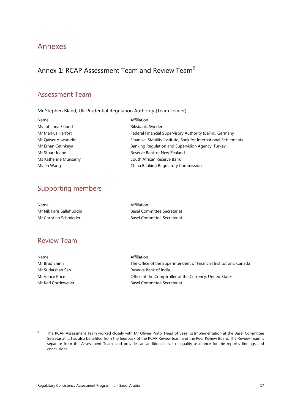## <span id="page-19-0"></span>Annexes

## <span id="page-19-1"></span>Annex 1: RCAP Assessment Team and Review Team<sup>[9](#page-19-2)</sup>

## Assessment Team

Mr Stephen Bland, UK Prudential Regulation Authority (Team Leader)

| Federal Financial Supervisory Authority (BaFin), Germany          |
|-------------------------------------------------------------------|
| Financial Stability Institute, Bank for International Settlements |
|                                                                   |
|                                                                   |
|                                                                   |
|                                                                   |
|                                                                   |

## Supporting members

| Name                     | Affiliation                        |
|--------------------------|------------------------------------|
| Mr Nik Faris Sallahuddin | <b>Basel Committee Secretariat</b> |
| Mr Christian Schmieder   | <b>Basel Committee Secretariat</b> |

## Review Team

| Name               | Affiliation                                                        |
|--------------------|--------------------------------------------------------------------|
| Mr Brad Shinn      | The Office of the Superintendent of Financial Institutions, Canada |
| Mr Sudarshan Sen   | Reserve Bank of India                                              |
| Mr Vance Price     | Office of the Comptroller of the Currency, United States           |
| Mr Karl Cordewener | <b>Basel Committee Secretariat</b>                                 |

<span id="page-19-2"></span><sup>9</sup> The RCAP Assessment Team worked closely with Mr Olivier Prato, Head of Basel III Implementation at the Basel Committee Secretariat. It has also benefited from the feedback of the RCAP Review team and the Peer Review Board. The Review Team is separate from the Assessment Team, and provides an additional level of quality assurance for the report's findings and conclusions.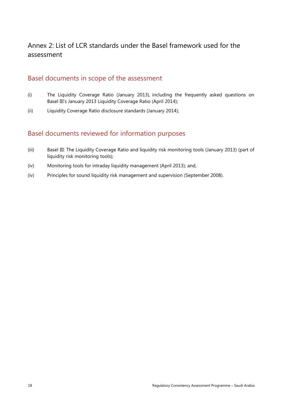## <span id="page-20-0"></span>Annex 2: List of LCR standards under the Basel framework used for the assessment

### Basel documents in scope of the assessment

- (i) The Liquidity Coverage Ratio (January 2013), including the frequently asked questions on Basel III's January 2013 Liquidity Coverage Ratio (April 2014);
- (ii) Liquidity Coverage Ratio disclosure standards (January 2014);

### Basel documents reviewed for information purposes

- (iii) Basel III: The Liquidity Coverage Ratio and liquidity risk monitoring tools (January 2013) (part of liquidity risk monitoring tools);
- (iv) Monitoring tools for intraday liquidity management (April 2013); and,
- (iv) Principles for sound liquidity risk management and supervision (September 2008).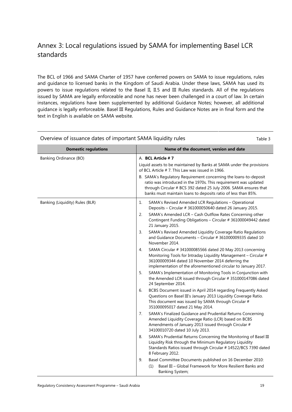## <span id="page-21-0"></span>Annex 3: Local regulations issued by SAMA for implementing Basel LCR standards

The BCL of 1966 and SAMA Charter of 1957 have conferred powers on SAMA to issue regulations, rules and guidance to licensed banks in the Kingdom of Saudi Arabia. Under these laws, SAMA has used its powers to issue regulations related to the Basel II, II.5 and III Rules standards. All of the regulations issued by SAMA are legally enforceable and none has never been challenged in a court of law. In certain instances, regulations have been supplemented by additional Guidance Notes; however, all additional guidance is legally enforceable. Basel III Regulations, Rules and Guidance Notes are in final form and the text in English is available on SAMA website.

| $\sim$ . The contract dates of important $\sim$ and induced all $\sim$<br>rapic J |                                                                                                                                                                                                                                                                          |  |  |
|-----------------------------------------------------------------------------------|--------------------------------------------------------------------------------------------------------------------------------------------------------------------------------------------------------------------------------------------------------------------------|--|--|
| <b>Domestic regulations</b>                                                       | Name of the document, version and date                                                                                                                                                                                                                                   |  |  |
| Banking Ordinance (BO)                                                            | A. BCL Article #7<br>Liquid assets to be maintained by Banks at SAMA under the provisions                                                                                                                                                                                |  |  |
|                                                                                   | of BCL Article #7. This Law was issued in 1966.                                                                                                                                                                                                                          |  |  |
|                                                                                   | B. SAMA's Regulatory Requirement concerning the loans-to-deposit<br>ratio was introduced in the 1970s. This requirement was updated<br>through Circular # BCS 392 dated 25 July 2006. SAMA ensures that<br>banks must maintain loans to deposits ratio of less than 85%. |  |  |
| Banking (Liquidity) Rules (BLR)                                                   | SAMA's Revised Amended LCR Regulations - Operational<br>1.<br>Deposits - Circular # 361000050640 dated 26 January 2015.                                                                                                                                                  |  |  |
|                                                                                   | SAMA's Amended LCR - Cash Outflow Rates Concerning other<br>2.<br>Contingent Funding Obligations - Circular # 361000049442 dated<br>21 January 2015.                                                                                                                     |  |  |
|                                                                                   | SAMA's Revised Amended Liquidity Coverage Ratio Regulations<br>3.<br>and Guidance Documents - Circular # 361000009335 dated 10<br>November 2014.                                                                                                                         |  |  |
|                                                                                   | SAMA Circular # 341000085566 dated 20 May 2013 concerning<br>4.<br>Monitoring Tools for Intraday Liquidity Management - Circular #<br>361000009344 dated 10 November 2014 deferring the<br>implementation of the aforementioned circular to January 2017.                |  |  |
|                                                                                   | SAMA's Implementation of Monitoring Tools in Conjunction with<br>5.<br>the Amended LCR issued through Circular # 351000147086 dated<br>24 September 2014.                                                                                                                |  |  |
|                                                                                   | 6.<br>BCBS Document issued in April 2014 regarding Frequently Asked<br>Questions on Basel III's January 2013 Liquidity Coverage Ratio.<br>This document was issued by SAMA through Circular #<br>351000095017 dated 21 May 2014.                                         |  |  |
|                                                                                   | SAMA's Finalized Guidance and Prudential Returns Concerning<br>7 <sub>1</sub><br>Amended Liquidity Coverage Ratio (LCR) based on BCBS<br>Amendments of January 2013 issued through Circular #<br>34100010720 dated 10 July 2013.                                         |  |  |
|                                                                                   | SAMA's Prudential Returns Concerning the Monitoring of Basel III<br>8.<br>Liquidity Risk through the Minimum Regulatory Liquidity<br>Standards Ratios issued through Circular # 14522/BCS 7390 dated<br>8 February 2012.                                                 |  |  |
|                                                                                   | 9.<br>Basel Committee Documents published on 16 December 2010:                                                                                                                                                                                                           |  |  |
|                                                                                   | Basel III - Global Framework for More Resilient Banks and<br>(1)<br><b>Banking System;</b>                                                                                                                                                                               |  |  |

#### Overview of issuance dates of important SAMA liquidity rules Table 3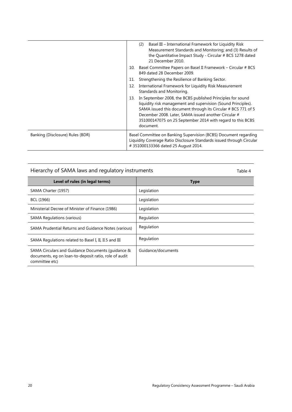|                                  |     | Basel III – International Framework for Liquidity Risk<br>(2)<br>Measurement Standards and Monitoring; and (3) Results of<br>the Quantitative Impact Study - Circular # BCS 1278 dated<br>21 December 2010                                                                                                                      |
|----------------------------------|-----|---------------------------------------------------------------------------------------------------------------------------------------------------------------------------------------------------------------------------------------------------------------------------------------------------------------------------------|
|                                  | 10. | Basel Committee Papers on Basel II Framework – Circular # BCS<br>849 dated 28 December 2009.                                                                                                                                                                                                                                    |
|                                  | 11. | Strengthening the Resilience of Banking Sector.                                                                                                                                                                                                                                                                                 |
|                                  | 12. | International Framework for Liquidity Risk Measurement<br>Standards and Monitoring.                                                                                                                                                                                                                                             |
|                                  | 13. | In September 2008, the BCBS published Principles for sound<br>liquidity risk management and supervision (Sound Principles).<br>SAMA issued this document through its Circular # BCS 771 of 5<br>December 2008. Later, SAMA issued another Circular #<br>351000147075 on 25 September 2014 with regard to this BCBS<br>document. |
| Banking (Disclosure) Rules (BDR) |     | Basel Committee on Banking Supervision (BCBS) Document regarding<br>Liquidity Coverage Ratio Disclosure Standards issued through Circular<br>#351000133366 dated 25 August 2014.                                                                                                                                                |

Hierarchy of SAMA laws and regulatory instruments Table 4

| Level of rules (in legal terms)                                                                                              | <b>Type</b>        |
|------------------------------------------------------------------------------------------------------------------------------|--------------------|
| SAMA Charter (1957)                                                                                                          | Legislation        |
| BCL (1966)                                                                                                                   | Legislation        |
| Ministerial Decree of Minister of Finance (1986)                                                                             | Legislation        |
| <b>SAMA Regulations (various)</b>                                                                                            | Regulation         |
| SAMA Prudential Returns and Guidance Notes (various)                                                                         | Regulation         |
| SAMA Regulations related to Basel I, II, II.5 and III                                                                        | Regulation         |
| SAMA Circulars and Guidance Documents (quidance &<br>documents, eq on loan-to-deposit ratio, role of audit<br>committee etc) | Guidance/documents |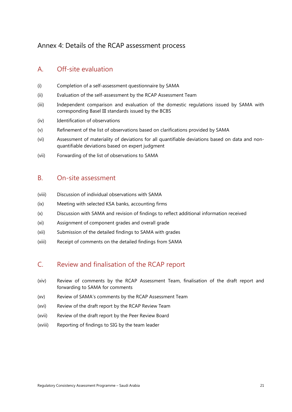## <span id="page-23-0"></span>Annex 4: Details of the RCAP assessment process

### A. Off-site evaluation

- (i) Completion of a self-assessment questionnaire by SAMA
- (ii) Evaluation of the self-assessment by the RCAP Assessment Team
- (iii) Independent comparison and evaluation of the domestic regulations issued by SAMA with corresponding Basel III standards issued by the BCBS
- (iv) Identification of observations
- (v) Refinement of the list of observations based on clarifications provided by SAMA
- (vi) Assessment of materiality of deviations for all quantifiable deviations based on data and nonquantifiable deviations based on expert judgment
- (vii) Forwarding of the list of observations to SAMA

### B. On-site assessment

- (viii) Discussion of individual observations with SAMA
- (ix) Meeting with selected KSA banks, accounting firms
- (x) Discussion with SAMA and revision of findings to reflect additional information received
- (xi) Assignment of component grades and overall grade
- (xii) Submission of the detailed findings to SAMA with grades
- (xiii) Receipt of comments on the detailed findings from SAMA

### C. Review and finalisation of the RCAP report

- (xiv) Review of comments by the RCAP Assessment Team, finalisation of the draft report and forwarding to SAMA for comments
- (xv) Review of SAMA's comments by the RCAP Assessment Team
- (xvi) Review of the draft report by the RCAP Review Team
- (xvii) Review of the draft report by the Peer Review Board
- (xviii) Reporting of findings to SIG by the team leader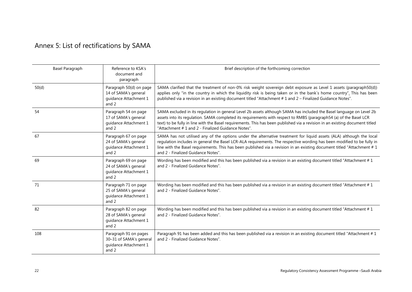## Annex 5: List of rectifications by SAMA

<span id="page-24-0"></span>

| Basel Paragraph | Reference to KSA's<br>document and<br>paragraph                                    | Brief description of the forthcoming correction                                                                                                                                                                                                                                                                                                                                                                                  |
|-----------------|------------------------------------------------------------------------------------|----------------------------------------------------------------------------------------------------------------------------------------------------------------------------------------------------------------------------------------------------------------------------------------------------------------------------------------------------------------------------------------------------------------------------------|
| 50(d)           | Paragraph 50(d) on page<br>14 of SAMA's general<br>quidance Attachment 1<br>and 2  | SAMA clarified that the treatment of non-0% risk weight sovereign debt exposure as Level 1 assets (paragraph50(d))<br>applies only "in the country in which the liquidity risk is being taken or in the bank's home country". This has been<br>published via a revision in an existing document titled "Attachment # 1 and 2 - Finalized Guidance Notes".                                                                        |
| 54              | Paragraph 54 on page<br>17 of SAMA's general<br>quidance Attachment 1<br>and 2     | SAMA excluded in its regulation in general Level 2b assets although SAMA has included the Basel language on Level 2b<br>assets into its regulation. SAMA completed its requirements with respect to RMBS (paragraph54 (a) of the Basel LCR<br>text) to be fully in line with the Basel requirements. This has been published via a revision in an existing document titled<br>"Attachment # 1 and 2 - Finalized Guidance Notes". |
| 67              | Paragraph 67 on page<br>24 of SAMA's general<br>quidance Attachment 1<br>and 2     | SAMA has not utilised any of the options under the alternative treatment for liquid assets (ALA) although the local<br>regulation includes in general the Basel LCR-ALA requirements. The respective wording has been modified to be fully in<br>line with the Basel requirements. This has been published via a revision in an existing document titled "Attachment $# 1$<br>and 2 - Finalized Guidance Notes".                 |
| 69              | Paragraph 69 on page<br>24 of SAMA's general<br>quidance Attachment 1<br>and 2     | Wording has been modified and this has been published via a revision in an existing document titled "Attachment #1<br>and 2 - Finalized Guidance Notes".                                                                                                                                                                                                                                                                         |
| 71              | Paragraph 71 on page<br>25 of SAMA's general<br>quidance Attachment 1<br>and 2     | Wording has been modified and this has been published via a revision in an existing document titled "Attachment #1<br>and 2 - Finalized Guidance Notes".                                                                                                                                                                                                                                                                         |
| 82              | Paragraph 82 on page<br>28 of SAMA's general<br>guidance Attachment 1<br>and 2     | Wording has been modified and this has been published via a revision in an existing document titled "Attachment #1<br>and 2 - Finalized Guidance Notes".                                                                                                                                                                                                                                                                         |
| 108             | Paragraph 91 on pages<br>30-31 of SAMA's general<br>guidance Attachment 1<br>and 2 | Paragraph 91 has been added and this has been published via a revision in an existing document titled "Attachment #1<br>and 2 - Finalized Guidance Notes".                                                                                                                                                                                                                                                                       |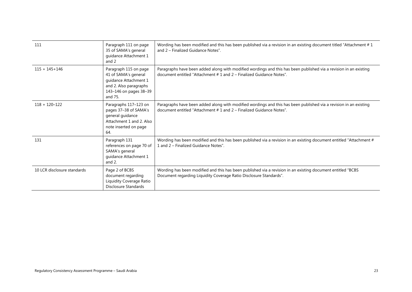| 111                         | Paragraph 111 on page<br>35 of SAMA's general<br>guidance Attachment 1<br>and 2                                                       | Wording has been modified and this has been published via a revision in an existing document titled "Attachment #1<br>and 2 – Finalized Guidance Notes".                                      |
|-----------------------------|---------------------------------------------------------------------------------------------------------------------------------------|-----------------------------------------------------------------------------------------------------------------------------------------------------------------------------------------------|
| $115 + 145 + 146$           | Paragraph 115 on page<br>41 of SAMA's general<br>guidance Attachment 1<br>and 2. Also paragraphs<br>143-146 on pages 38-39<br>and 75. | Paragraphs have been added along with modified wordings and this has been published via a revision in an existing<br>document entitled "Attachment $# 1$ and $2 -$ Finalized Guidance Notes". |
| $118 + 120 - 122$           | Paragraphs 117-123 on<br>pages 37-38 of SAMA's<br>general guidance<br>Attachment 1 and 2. Also<br>note inserted on page<br>64.        | Paragraphs have been added along with modified wordings and this has been published via a revision in an existing<br>document entitled "Attachment $# 1$ and $2 -$ Finalized Guidance Notes". |
| 131                         | Paragraph 131<br>references on page 70 of<br>SAMA's general<br>guidance Attachment 1<br>and $2$ .                                     | Wording has been modified and this has been published via a revision in an existing document entitled "Attachment #<br>1 and 2 – Finalized Guidance Notes".                                   |
| 10 LCR disclosure standards | Page 2 of BCBS<br>document regarding<br>Liquidity Coverage Ratio<br><b>Disclosure Standards</b>                                       | Wording has been modified and this has been published via a revision in an existing document entitled "BCBS<br>Document regarding Liquidity Coverage Ratio Disclosure Standards".             |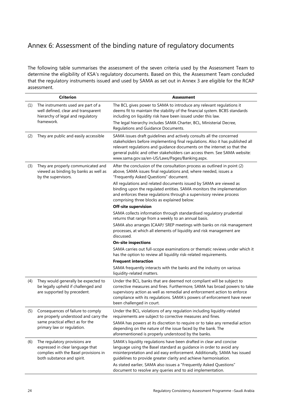## <span id="page-26-0"></span>Annex 6: Assessment of the binding nature of regulatory documents

The following table summarises the assessment of the seven criteria used by the Assessment Team to determine the eligibility of KSA's regulatory documents. Based on this, the Assessment Team concluded that the regulatory instruments issued and used by SAMA as set out in Annex 3 are eligible for the RCAP assessment.

|     | <b>Criterion</b>                                                                                                                         | <b>Assessment</b>                                                                                                                                                                                                                                                                                                                                                 |
|-----|------------------------------------------------------------------------------------------------------------------------------------------|-------------------------------------------------------------------------------------------------------------------------------------------------------------------------------------------------------------------------------------------------------------------------------------------------------------------------------------------------------------------|
| (1) | The instruments used are part of a<br>well defined, clear and transparent<br>hierarchy of legal and regulatory                           | The BCL gives power to SAMA to introduce any relevant regulations it<br>deems fit to maintain the stability of the financial system. BCBS standards<br>including on liquidity risk have been issued under this law.                                                                                                                                               |
|     | framework.                                                                                                                               | The legal hierarchy includes SAMA Charter, BCL, Ministerial Decree,<br>Regulations and Guidance Documents.                                                                                                                                                                                                                                                        |
| (2) | They are public and easily accessible                                                                                                    | SAMA issues draft guidelines and actively consults all the concerned<br>stakeholders before implementing final regulations. Also it has published all<br>relevant regulations and guidance documents on the internet so that the<br>general public and other stakeholders can access them. See SAMA website:<br>www.sama.gov.sa/en-US/Laws/Pages/Banking.aspx.    |
| (3) | They are properly communicated and<br>viewed as binding by banks as well as<br>by the supervisors.                                       | After the conclusion of the consultation process as outlined in point (2)<br>above, SAMA issues final regulations and, where needed, issues a<br>"Frequently Asked Questions" document.                                                                                                                                                                           |
|     |                                                                                                                                          | All regulations and related documents issued by SAMA are viewed as<br>binding upon the regulated entities. SAMA monitors the implementation<br>and enforces these regulations through a supervisory review process<br>comprising three blocks as explained below:                                                                                                 |
|     |                                                                                                                                          | Off-site supervision                                                                                                                                                                                                                                                                                                                                              |
|     |                                                                                                                                          | SAMA collects information through standardised regulatory prudential<br>returns that range from a weekly to an annual basis.                                                                                                                                                                                                                                      |
|     |                                                                                                                                          | SAMA also arranges ICAAP/ SREP meetings with banks on risk management<br>processes, at which all elements of liquidity and risk management are<br>discussed.                                                                                                                                                                                                      |
|     |                                                                                                                                          | <b>On-site inspections</b>                                                                                                                                                                                                                                                                                                                                        |
|     |                                                                                                                                          | SAMA carries out full-scope examinations or thematic reviews under which it<br>has the option to review all liquidity risk-related requirements.                                                                                                                                                                                                                  |
|     |                                                                                                                                          | <b>Frequent interaction</b>                                                                                                                                                                                                                                                                                                                                       |
|     |                                                                                                                                          | SAMA frequently interacts with the banks and the industry on various<br>liquidity-related matters.                                                                                                                                                                                                                                                                |
| (4) | They would generally be expected to<br>be legally upheld if challenged and<br>are supported by precedent.                                | Under the BCL, banks that are deemed not compliant will be subject to<br>corrective measures and fines. Furthermore, SAMA has broad powers to take<br>supervisory action as well as remedial and enforcement action to enforce<br>compliance with its regulations. SAMA's powers of enforcement have never<br>been challenged in court.                           |
| (5) | Consequences of failure to comply<br>are properly understood and carry the                                                               | Under the BCL, violations of any regulation including liquidity-related<br>requirements are subject to corrective measures and fines.                                                                                                                                                                                                                             |
|     | same practical effect as for the<br>primary law or regulation.                                                                           | SAMA has powers at its discretion to require or to take any remedial action<br>depending on the nature of the issue faced by the bank. The<br>aforementioned is properly understood by the banks.                                                                                                                                                                 |
| (6) | The regulatory provisions are<br>expressed in clear language that<br>complies with the Basel provisions in<br>both substance and spirit. | SAMA's liquidity regulations have been drafted in clear and concise<br>language using the Basel standard as guidance in order to avoid any<br>misinterpretation and aid easy enforcement. Additionally, SAMA has issued<br>guidelines to provide greater clarity and achieve harmonisation.<br>As stated earlier, SAMA also issues a "Frequently Asked Questions" |
|     |                                                                                                                                          | document to resolve any queries and to aid implementation.                                                                                                                                                                                                                                                                                                        |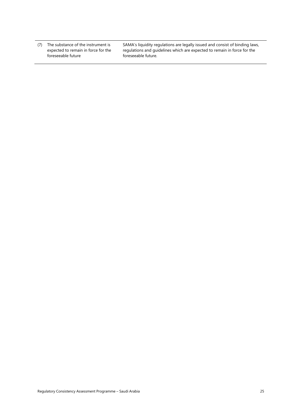(7) The substance of the instrument is expected to remain in force for the foreseeable future

SAMA's liquidity regulations are legally issued and consist of binding laws, regulations and guidelines which are expected to remain in force for the foreseeable future.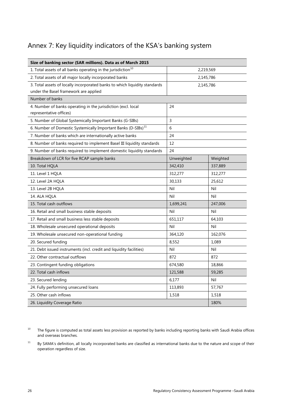## <span id="page-28-0"></span>Annex 7: Key liquidity indicators of the KSA's banking system

| Size of banking sector (SAR millions). Data as of March 2015               |            |           |  |  |
|----------------------------------------------------------------------------|------------|-----------|--|--|
| 1. Total assets of all banks operating in the jurisdiction <sup>10</sup>   | 2,219,569  |           |  |  |
| 2. Total assets of all major locally incorporated banks<br>2,145,786       |            |           |  |  |
| 3. Total assets of locally incorporated banks to which liquidity standards |            | 2,145,786 |  |  |
| under the Basel framework are applied                                      |            |           |  |  |
| Number of banks                                                            |            |           |  |  |
| 4. Number of banks operating in the jurisdiction (excl. local              | 24         |           |  |  |
| representative offices)                                                    |            |           |  |  |
| 5. Number of Global Systemically Important Banks (G-SIBs)                  | 3          |           |  |  |
| 6. Number of Domestic Systemically Important Banks (D-SIBs) <sup>11</sup>  | 6          |           |  |  |
| 7. Number of banks which are internationally active banks                  | 24         |           |  |  |
| 8. Number of banks required to implement Basel III liquidity standards     | 12         |           |  |  |
| 9. Number of banks required to implement domestic liquidity standards      | 24         |           |  |  |
| Breakdown of LCR for five RCAP sample banks                                | Unweighted | Weighted  |  |  |
| 10. Total HQLA                                                             | 342,410    | 337,889   |  |  |
| 11. Level 1 HQLA                                                           | 312,277    | 312,277   |  |  |
| 12. Level 2A HQLA                                                          | 30,133     | 25,612    |  |  |
| 13. Level 2B HQLA                                                          | Nil        | Nil       |  |  |
| 14. ALA HQLA                                                               | Nil        | Nil       |  |  |
| 15. Total cash outflows                                                    | 1,699,241  | 247,006   |  |  |
| 16. Retail and small business stable deposits                              | Nil        | Nil       |  |  |
| 17. Retail and small business less stable deposits                         | 651,117    | 64,103    |  |  |
| 18. Wholesale unsecured operational deposits                               | Nil        | Nil       |  |  |
| 19. Wholesale unsecured non-operational funding                            | 364,120    | 162,076   |  |  |
| 20. Secured funding                                                        | 8,552      | 1,089     |  |  |
| 21. Debt issued instruments (incl. credit and liquidity facilities)        | Nil        | Nil       |  |  |
| 22. Other contractual outflows                                             | 872        | 872       |  |  |
| 23. Contingent funding obligations                                         | 674,580    | 18,866    |  |  |
| 22. Total cash inflows                                                     | 121,588    | 59,285    |  |  |
| 23. Secured lending                                                        | 6,177      | Nil       |  |  |
| 24. Fully performing unsecured loans                                       | 113,893    | 57,767    |  |  |
| 25. Other cash inflows                                                     | 1,518      | 1,518     |  |  |
| 26. Liquidity Coverage Ratio                                               |            | 180%      |  |  |

<span id="page-28-1"></span> $10$  The figure is computed as total assets less provision as reported by banks including reporting banks with Saudi Arabia offices and overseas branches.

<span id="page-28-2"></span><sup>11</sup> By SAMA's definition, all locally incorporated banks are classified as international banks due to the nature and scope of their operation regardless of size.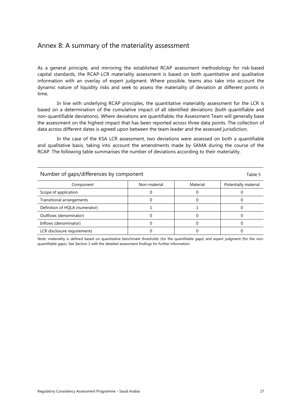### <span id="page-29-0"></span>Annex 8: A summary of the materiality assessment

As a general principle, and mirroring the established RCAP assessment methodology for risk-based capital standards, the RCAP-LCR materiality assessment is based on both quantitative and qualitative information with an overlay of expert judgment. Where possible, teams also take into account the dynamic nature of liquidity risks and seek to assess the materiality of deviation at different points in time.

In line with underlying RCAP principles, the quantitative materiality assessment for the LCR is based on a determination of the cumulative impact of all identified deviations (both quantifiable and non-quantifiable deviations). Where deviations are quantifiable, the Assessment Team will generally base the assessment on the highest impact that has been reported across three data points. The collection of data across different dates is agreed upon between the team leader and the assessed jurisdiction.

In the case of the KSA LCR assessment, two deviations were assessed on both a quantifiable and qualitative basis, taking into account the amendments made by SAMA during the course of the RCAP. The following table summarises the number of deviations according to their materiality.

| Number of gaps/differences by component<br>Table 5 |              |          |                      |  |
|----------------------------------------------------|--------------|----------|----------------------|--|
| Component                                          | Non-material | Material | Potentially material |  |
| Scope of application                               |              |          |                      |  |
| Transitional arrangements                          |              |          |                      |  |
| Definition of HQLA (numerator)                     |              |          |                      |  |
| Outflows (denominator)                             |              |          |                      |  |
| Inflows (denominator)                              |              |          |                      |  |
| LCR disclosure requirements                        |              |          |                      |  |

Note: materiality is defined based on quantitative benchmark thresholds (for the quantifiable gaps) and expert judgment (for the nonquantifiable gaps). See Section 2 with the detailed assessment findings for further information.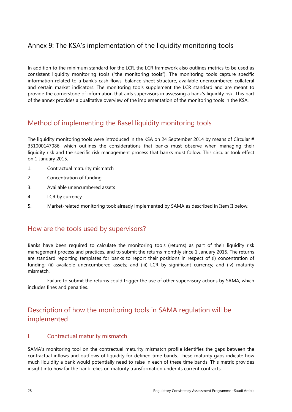## <span id="page-30-0"></span>Annex 9: The KSA's implementation of the liquidity monitoring tools

In addition to the minimum standard for the LCR, the LCR framework also outlines metrics to be used as consistent liquidity monitoring tools ("the monitoring tools"). The monitoring tools capture specific information related to a bank's cash flows, balance sheet structure, available unencumbered collateral and certain market indicators. The monitoring tools supplement the LCR standard and are meant to provide the cornerstone of information that aids supervisors in assessing a bank's liquidity risk. This part of the annex provides a qualitative overview of the implementation of the monitoring tools in the KSA.

## Method of implementing the Basel liquidity monitoring tools

The liquidity monitoring tools were introduced in the KSA on 24 September 2014 by means of Circular # 351000147086, which outlines the considerations that banks must observe when managing their liquidity risk and the specific risk management process that banks must follow. This circular took effect on 1 January 2015.

- 1. Contractual maturity mismatch
- 2. Concentration of funding
- 3. Available unencumbered assets
- 4. LCR by currency
- 5. Market-related monitoring tool: already implemented by SAMA as described in Item II below.

### How are the tools used by supervisors?

Banks have been required to calculate the monitoring tools (returns) as part of their liquidity risk management process and practices, and to submit the returns monthly since 1 January 2015. The returns are standard reporting templates for banks to report their positions in respect of (i) concentration of funding; (ii) available unencumbered assets; and (iii) LCR by significant currency; and (iv) maturity mismatch.

Failure to submit the returns could trigger the use of other supervisory actions by SAMA, which includes fines and penalties.

## Description of how the monitoring tools in SAMA regulation will be implemented

### I. Contractual maturity mismatch

SAMA's monitoring tool on the contractual maturity mismatch profile identifies the gaps between the contractual inflows and outflows of liquidity for defined time bands. These maturity gaps indicate how much liquidity a bank would potentially need to raise in each of these time bands. This metric provides insight into how far the bank relies on maturity transformation under its current contracts.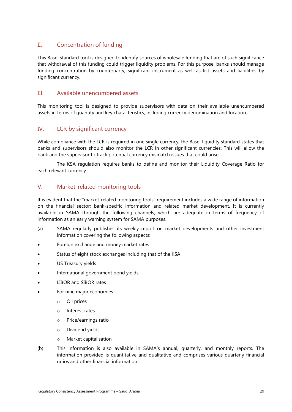### II. Concentration of funding

This Basel standard tool is designed to identify sources of wholesale funding that are of such significance that withdrawal of this funding could trigger liquidity problems. For this purpose, banks should manage funding concentration by counterparty, significant instrument as well as list assets and liabilities by significant currency.

### III. Available unencumbered assets

This monitoring tool is designed to provide supervisors with data on their available unencumbered assets in terms of quantity and key characteristics, including currency denomination and location.

### IV. LCR by significant currency

While compliance with the LCR is required in one single currency, the Basel liquidity standard states that banks and supervisors should also monitor the LCR in other significant currencies. This will allow the bank and the supervisor to track potential currency mismatch issues that could arise.

The KSA regulation requires banks to define and monitor their Liquidity Coverage Ratio for each relevant currency.

### V. Market-related monitoring tools

It is evident that the "market-related monitoring tools" requirement includes a wide range of information on the financial sector; bank-specific information and related market development. It is currently available in SAMA through the following channels, which are adequate in terms of frequency of information as an early warning system for SAMA purposes.

- (a) SAMA regularly publishes its weekly report on market developments and other investment information covering the following aspects:
- Foreign exchange and money market rates
- Status of eight stock exchanges including that of the KSA
- US Treasury yields
- International government bond yields
- LIBOR and SIBOR rates
- For nine major economies
	- o Oil prices
	- o Interest rates
	- o Price/earnings ratio
	- o Dividend yields
	- o Market capitalisation
- (b) This information is also available in SAMA's annual, quarterly, and monthly reports. The information provided is quantitative and qualitative and comprises various quarterly financial ratios and other financial information.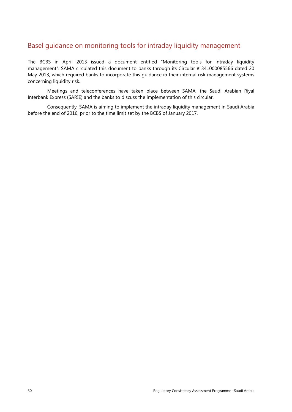## Basel guidance on monitoring tools for intraday liquidity management

The BCBS in April 2013 issued a document entitled "Monitoring tools for intraday liquidity management". SAMA circulated this document to banks through its Circular # 341000085566 dated 20 May 2013, which required banks to incorporate this guidance in their internal risk management systems concerning liquidity risk.

Meetings and teleconferences have taken place between SAMA, the Saudi Arabian Riyal Interbank Express (SARIE) and the banks to discuss the implementation of this circular.

Consequently, SAMA is aiming to implement the intraday liquidity management in Saudi Arabia before the end of 2016, prior to the time limit set by the BCBS of January 2017.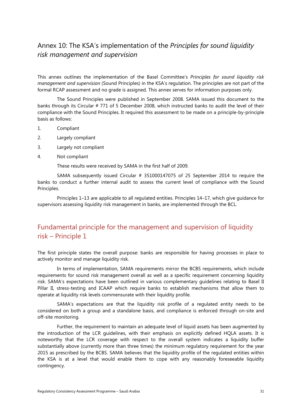## <span id="page-33-0"></span>Annex 10: The KSA's implementation of the *Principles for sound liquidity risk management and supervision*

This annex outlines the implementation of the Basel Committee's *Principles for sound liquidity risk management and supervision* (Sound Principles) in the KSA's regulation. The principles are not part of the formal RCAP assessment and no grade is assigned. This annex serves for information purposes only.

The Sound Principles were published in September 2008. SAMA issued this document to the banks through its Circular # 771 of 5 December 2008, which instructed banks to audit the level of their compliance with the Sound Principles. It required this assessment to be made on a principle-by-principle basis as follows:

- 1. Compliant
- 2. Largely compliant
- 3. Largely not compliant
- 4. Not compliant

These results were received by SAMA in the first half of 2009.

SAMA subsequently issued Circular # 351000147075 of 25 September 2014 to require the banks to conduct a further internal audit to assess the current level of compliance with the Sound Principles.

Principles 1–13 are applicable to all regulated entities. Principles 14–17, which give guidance for supervisors assessing liquidity risk management in banks, are implemented through the BCL.

## Fundamental principle for the management and supervision of liquidity risk – Principle 1

The first principle states the overall purpose: banks are responsible for having processes in place to actively monitor and manage liquidity risk.

In terms of implementation, SAMA requirements mirror the BCBS requirements, which include requirements for sound risk management overall as well as a specific requirement concerning liquidity risk. SAMA's expectations have been outlined in various complementary guidelines relating to Basel II Pillar II, stress-testing and ICAAP which require banks to establish mechanisms that allow them to operate at liquidity risk levels commensurate with their liquidity profile.

SAMA's expectations are that the liquidity risk profile of a regulated entity needs to be considered on both a group and a standalone basis, and compliance is enforced through on-site and off-site monitoring.

Further, the requirement to maintain an adequate level of liquid assets has been augmented by the introduction of the LCR guidelines, with their emphasis on explicitly defined HQLA assets. It is noteworthy that the LCR coverage with respect to the overall system indicates a liquidity buffer substantially above (currently more than three times) the minimum regulatory requirement for the year 2015 as prescribed by the BCBS. SAMA believes that the liquidity profile of the regulated entities within the KSA is at a level that would enable them to cope with any reasonably foreseeable liquidity contingency.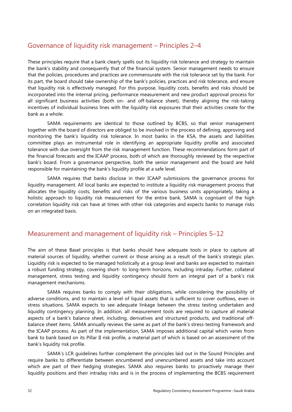## Governance of liquidity risk management – Principles 2–4

These principles require that a bank clearly spells out its liquidity risk tolerance and strategy to maintain the bank's stability and consequently that of the financial system. Senior management needs to ensure that the policies, procedures and practices are commensurate with the risk tolerance set by the bank. For its part, the board should take ownership of the bank's policies, practices and risk tolerance, and ensure that liquidity risk is effectively managed. For this purpose, liquidity costs, benefits and risks should be incorporated into the internal pricing, performance measurement and new product approval process for all significant business activities (both on- and off-balance sheet), thereby aligning the risk-taking incentives of individual business lines with the liquidity risk exposures that their activities create for the bank as a whole.

SAMA requirements are identical to those outlined by BCBS, so that senior management together with the board of directors are obliged to be involved in the process of defining, approving and monitoring the bank's liquidity risk tolerance. In most banks in the KSA, the assets and liabilities committee plays an instrumental role in identifying an appropriate liquidity profile and associated tolerance with due oversight from the risk management function. These recommendations form part of the financial forecasts and the ICAAP process, both of which are thoroughly reviewed by the respective bank's board. From a governance perspective, both the senior management and the board are held responsible for maintaining the bank's liquidity profile at a safe level.

SAMA requires that banks disclose in their ICAAP submissions the governance process for liquidity management. All local banks are expected to institute a liquidity risk management process that allocates the liquidity costs, benefits and risks of the various business units appropriately, taking a holistic approach to liquidity risk measurement for the entire bank. SAMA is cognisant of the high correlation liquidity risk can have at times with other risk categories and expects banks to manage risks on an integrated basis.

### Measurement and management of liquidity risk – Principles 5–12

The aim of these Basel principles is that banks should have adequate tools in place to capture all material sources of liquidity, whether current or those arising as a result of the bank's strategic plan. Liquidity risk is expected to be managed holistically at a group level and banks are expected to maintain a robust funding strategy, covering short- to long-term horizons, including intraday. Further, collateral management, stress testing and liquidity contingency should form an integral part of a bank's risk management mechanisms.

SAMA requires banks to comply with their obligations, while considering the possibility of adverse conditions, and to maintain a level of liquid assets that is sufficient to cover outflows, even in stress situations. SAMA expects to see adequate linkage between the stress testing undertaken and liquidity contingency planning. In addition, all measurement tools are required to capture all material aspects of a bank's balance sheet, including, derivatives and structured products, and traditional offbalance sheet items. SAMA annually reviews the same as part of the bank's stress-testing framework and the ICAAP process. As part of the implementation, SAMA imposes additional capital which varies from bank to bank based on its Pillar II risk profile, a material part of which is based on an assessment of the bank's liquidity risk profile.

SAMA's LCR guidelines further complement the principles laid out in the Sound Principles and require banks to differentiate between encumbered and unencumbered assets and take into account which are part of their hedging strategies. SAMA also requires banks to proactively manage their liquidity positions and their intraday risks and is in the process of implementing the BCBS requirement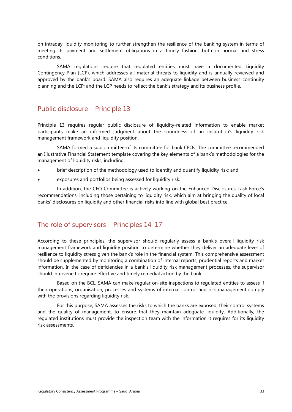on intraday liquidity monitoring to further strengthen the resilience of the banking system in terms of meeting its payment and settlement obligations in a timely fashion, both in normal and stress conditions.

SAMA regulations require that regulated entities must have a documented Liquidity Contingency Plan (LCP), which addresses all material threats to liquidity and is annually reviewed and approved by the bank's board. SAMA also requires an adequate linkage between business continuity planning and the LCP; and the LCP needs to reflect the bank's strategy and its business profile.

### Public disclosure – Principle 13

Principle 13 requires regular public disclosure of liquidity-related information to enable market participants make an informed judgment about the soundness of an institution's liquidity risk management framework and liquidity position.

SAMA formed a subcommittee of its committee for bank CFOs. The committee recommended an Illustrative Financial Statement template covering the key elements of a bank's methodologies for the management of liquidity risks, including:

- brief description of the methodology used to identify and quantify liquidity risk; and
- exposures and portfolios being assessed for liquidity risk.

In addition, the CFO Committee is actively working on the Enhanced Disclosures Task Force's recommendations, including those pertaining to liquidity risk, which aim at bringing the quality of local banks' disclosures on liquidity and other financial risks into line with global best practice.

### The role of supervisors – Principles 14–17

According to these principles, the supervisor should regularly assess a bank's overall liquidity risk management framework and liquidity position to determine whether they deliver an adequate level of resilience to liquidity stress given the bank's role in the financial system. This comprehensive assessment should be supplemented by monitoring a combination of internal reports, prudential reports and market information. In the case of deficiencies in a bank's liquidity risk management processes, the supervisor should intervene to require effective and timely remedial action by the bank.

Based on the BCL, SAMA can make regular on-site inspections to regulated entities to assess if their operations, organisation, processes and systems of internal control and risk management comply with the provisions regarding liquidity risk.

For this purpose, SAMA assesses the risks to which the banks are exposed, their control systems and the quality of management, to ensure that they maintain adequate liquidity. Additionally, the regulated institutions must provide the inspection team with the information it requires for its liquidity risk assessments.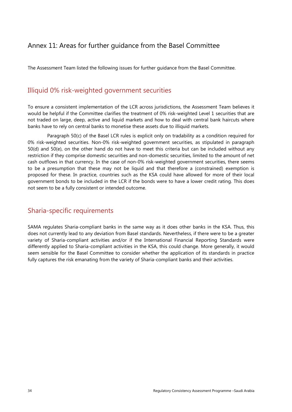## <span id="page-36-0"></span>Annex 11: Areas for further guidance from the Basel Committee

The Assessment Team listed the following issues for further guidance from the Basel Committee.

### Illiquid 0% risk-weighted government securities

To ensure a consistent implementation of the LCR across jurisdictions, the Assessment Team believes it would be helpful if the Committee clarifies the treatment of 0% risk-weighted Level 1 securities that are not traded on large, deep, active and liquid markets and how to deal with central bank haircuts where banks have to rely on central banks to monetise these assets due to illiquid markets.

Paragraph 50(c) of the Basel LCR rules is explicit only on tradability as a condition required for 0% risk-weighted securities. Non-0% risk-weighted government securities, as stipulated in paragraph 50(d) and 50(e), on the other hand do not have to meet this criteria but can be included without any restriction if they comprise domestic securities and non-domestic securities, limited to the amount of net cash outflows in that currency. In the case of non-0% risk-weighted government securities, there seems to be a presumption that these may not be liquid and that therefore a (constrained) exemption is proposed for these. In practice, countries such as the KSA could have allowed for more of their local government bonds to be included in the LCR if the bonds were to have a lower credit rating. This does not seem to be a fully consistent or intended outcome.

### Sharia-specific requirements

SAMA regulates Sharia-compliant banks in the same way as it does other banks in the KSA. Thus, this does not currently lead to any deviation from Basel standards. Nevertheless, if there were to be a greater variety of Sharia-compliant activities and/or if the International Financial Reporting Standards were differently applied to Sharia-compliant activities in the KSA, this could change. More generally, it would seem sensible for the Basel Committee to consider whether the application of its standards in practice fully captures the risk emanating from the variety of Sharia-compliant banks and their activities.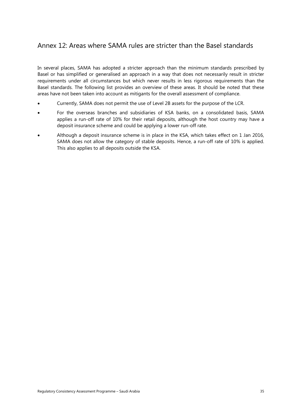## <span id="page-37-0"></span>Annex 12: Areas where SAMA rules are stricter than the Basel standards

In several places, SAMA has adopted a stricter approach than the minimum standards prescribed by Basel or has simplified or generalised an approach in a way that does not necessarily result in stricter requirements under all circumstances but which never results in less rigorous requirements than the Basel standards. The following list provides an overview of these areas. It should be noted that these areas have not been taken into account as mitigants for the overall assessment of compliance.

- Currently, SAMA does not permit the use of Level 2B assets for the purpose of the LCR.
- For the overseas branches and subsidiaries of KSA banks, on a consolidated basis, SAMA applies a run-off rate of 10% for their retail deposits, although the host country may have a deposit insurance scheme and could be applying a lower run-off rate.
- Although a deposit insurance scheme is in place in the KSA, which takes effect on 1 Jan 2016, SAMA does not allow the category of stable deposits. Hence, a run-off rate of 10% is applied. This also applies to all deposits outside the KSA.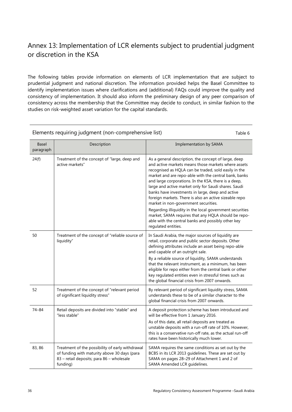## <span id="page-38-0"></span>Annex 13: Implementation of LCR elements subject to prudential judgment or discretion in the KSA

The following tables provide information on elements of LCR implementation that are subject to prudential judgment and national discretion. The information provided helps the Basel Committee to identify implementation issues where clarifications and (additional) FAQs could improve the quality and consistency of implementation. It should also inform the preliminary design of any peer comparison of consistency across the membership that the Committee may decide to conduct, in similar fashion to the studies on risk-weighted asset variation for the capital standards.

### Elements requiring judgment (non-comprehensive list) Table 6

Basel paragraph Description **Implementation by SAMA**  $24(f)$  Treatment of the concept of "large, deep and active markets" As a general description, the concept of large, deep and active markets means those markets where assets recognised as HQLA can be traded, sold easily in the market and are repo-able with the central bank, banks and large corporations. In the KSA, there is a deep, large and active market only for Saudi shares. Saudi banks have investments in large, deep and active foreign markets. There is also an active sizeable repo market in non-government securities. Regarding illiquidity in the local government securities market, SAMA requires that any HQLA should be repoable with the central banks and possibly other key regulated entities. 50 Treatment of the concept of "reliable source of liquidity" In Saudi Arabia, the major sources of liquidity are retail, corporate and public sector deposits. Other defining attributes include an asset being repo-able and capable of an outright sale. By a reliable source of liquidity, SAMA understands that the relevant instrument, as a minimum, has been eligible for repo either from the central bank or other key regulated entities even in stressful times such as the global financial crisis from 2007 onwards. 52 Treatment of the concept of "relevant period of significant liquidity stress" By relevant period of significant liquidity stress, SAMA understands these to be of a similar character to the global financial crisis from 2007 onwards. 74–84 Retail deposits are divided into "stable" and "less stable" A deposit protection scheme has been introduced and will be effective from 1 January 2016. As of this date, all retail deposits are treated as unstable deposits with a run-off rate of 10%. However, this is a conservative run-off rate, as the actual run-off rates have been historically much lower. 83, 86 Treatment of the possibility of early withdrawal of funding with maturity above 30 days (para 83 – retail deposits; para 86 – wholesale funding) SAMA requires the same conditions as set out by the BCBS in its LCR 2013 guidelines. These are set out by SAMA on pages 28–29 of Attachment 1 and 2 of SAMA Amended LCR guidelines.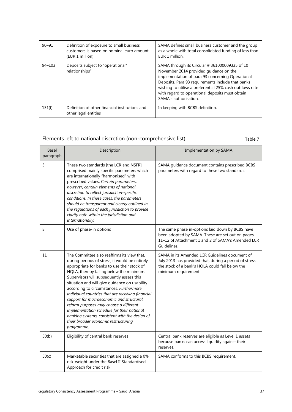| $90 - 91$  | Definition of exposure to small business<br>customers is based on nominal euro amount<br>(EUR 1 million) | SAMA defines small business customer and the group<br>as a whole with total consolidated funding of less than<br>EUR 1 million.                                                                                                                                                                                                          |
|------------|----------------------------------------------------------------------------------------------------------|------------------------------------------------------------------------------------------------------------------------------------------------------------------------------------------------------------------------------------------------------------------------------------------------------------------------------------------|
| $94 - 103$ | Deposits subject to "operational"<br>relationships"                                                      | SAMA through its Circular #361000009335 of 10<br>November 2014 provided guidance on the<br>implementation of para 93 concerning Operational<br>Deposits. Para 93 requirements include that banks<br>wishing to utilise a preferential 25% cash outflows rate<br>with regard to operational deposits must obtain<br>SAMA's authorisation. |
| 131(f)     | Definition of other financial institutions and<br>other legal entities                                   | In keeping with BCBS definition.                                                                                                                                                                                                                                                                                                         |

## Elements left to national discretion (non-comprehensive list) Table 7

| <b>Basel</b><br>paragraph | Description                                                                                                                                                                                                                                                                                                                                                                                                                                                                                                                                                                                                                         | <b>Implementation by SAMA</b>                                                                                                                                                        |
|---------------------------|-------------------------------------------------------------------------------------------------------------------------------------------------------------------------------------------------------------------------------------------------------------------------------------------------------------------------------------------------------------------------------------------------------------------------------------------------------------------------------------------------------------------------------------------------------------------------------------------------------------------------------------|--------------------------------------------------------------------------------------------------------------------------------------------------------------------------------------|
| 5                         | These two standards [the LCR and NSFR]<br>comprised mainly specific parameters which<br>are internationally "harmonised" with<br>prescribed values. Certain parameters,<br>however, contain elements of national<br>discretion to reflect jurisdiction-specific<br>conditions. In these cases, the parameters<br>should be transparent and clearly outlined in<br>the regulations of each jurisdiction to provide<br>clarity both within the jurisdiction and<br>internationally.                                                                                                                                                   | SAMA guidance document contains prescribed BCBS<br>parameters with regard to these two standards.                                                                                    |
| 8                         | Use of phase-in options                                                                                                                                                                                                                                                                                                                                                                                                                                                                                                                                                                                                             | The same phase in-options laid down by BCBS have<br>been adopted by SAMA. These are set out on pages<br>11-12 of Attachment 1 and 2 of SAMA's Amended LCR<br>Guidelines.             |
| 11                        | The Committee also reaffirms its view that,<br>during periods of stress, it would be entirely<br>appropriate for banks to use their stock of<br>HQLA, thereby falling below the minimum.<br>Supervisors will subsequently assess this<br>situation and will give guidance on usability<br>according to circumstances. Furthermore,<br>individual countries that are receiving financial<br>support for macroeconomic and structural<br>reform purposes may choose a different<br>implementation schedule for their national<br>banking systems, consistent with the design of<br>their broader economic restructuring<br>programme. | SAMA in its Amended LCR Guidelines document of<br>July 2013 has provided that, during a period of stress,<br>the stock of a bank's HQLA could fall below the<br>minimum requirement. |
| 50(b)                     | Eligibility of central bank reserves                                                                                                                                                                                                                                                                                                                                                                                                                                                                                                                                                                                                | Central bank reserves are eligible as Level 1 assets<br>because banks can access liquidity against their<br>reserves.                                                                |
| 50(c)                     | Marketable securities that are assigned a 0%<br>risk-weight under the Basel II Standardised<br>Approach for credit risk                                                                                                                                                                                                                                                                                                                                                                                                                                                                                                             | SAMA conforms to this BCBS requirement.                                                                                                                                              |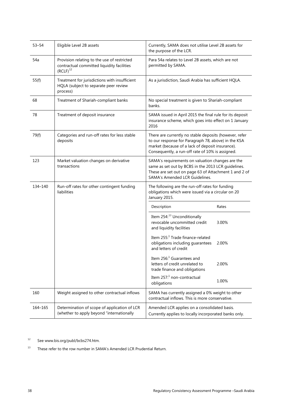| $53 - 54$ | Eligible Level 2B assets                                                                                   | Currently, SAMA does not utilise Level 2B assets for<br>the purpose of the LCR.                                                                                                                                       |  |
|-----------|------------------------------------------------------------------------------------------------------------|-----------------------------------------------------------------------------------------------------------------------------------------------------------------------------------------------------------------------|--|
| 54a       | Provision relating to the use of restricted<br>contractual committed liquidity facilities<br>$(RCLF)^{12}$ | Para 54a relates to Level 2B assets, which are not<br>permitted by SAMA.                                                                                                                                              |  |
| 55(f)     | Treatment for jurisdictions with insufficient<br>HQLA (subject to separate peer review<br>process)         | As a jurisdiction, Saudi Arabia has sufficient HQLA.                                                                                                                                                                  |  |
| 68        | Treatment of Shariah-compliant banks                                                                       | No special treatment is given to Shariah-compliant<br>banks.                                                                                                                                                          |  |
| 78        | Treatment of deposit insurance                                                                             | SAMA issued in April 2015 the final rule for its deposit<br>insurance scheme, which goes into effect on 1 January<br>2016                                                                                             |  |
| 79(f)     | Categories and run-off rates for less stable<br>deposits                                                   | There are currently no stable deposits (however, refer<br>to our response for Paragraph 78, above) in the KSA<br>market (because of a lack of deposit insurance).<br>Consequently, a run-off rate of 10% is assigned. |  |
| 123       | Market valuation changes on derivative<br>transactions                                                     | SAMA's requirements on valuation changes are the<br>same as set out by BCBS in the 2013 LCR guidelines.<br>These are set out on page 63 of Attachment 1 and 2 of<br>SAMA's Amended LCR Guidelines.                    |  |
| 134-140   | Run-off rates for other contingent funding<br>liabilities                                                  | The following are the run-off rates for funding<br>obligations which were issued via a circular on 20<br>January 2015.                                                                                                |  |
|           |                                                                                                            | Description<br>Rates                                                                                                                                                                                                  |  |
|           |                                                                                                            | Item 254: <sup>13</sup> Unconditionally<br>revocable uncommitted credit<br>3.00%<br>and liquidity facilities                                                                                                          |  |
|           |                                                                                                            | Item 255:1 Trade finance-related<br>obligations including guarantees<br>2.00%<br>and letters of credit                                                                                                                |  |
|           |                                                                                                            | Item $2561$ Guarantees and<br>letters of credit unrelated to<br>2.00%<br>trade finance and obligations                                                                                                                |  |
|           |                                                                                                            | Item 257: <sup>1</sup> non-contractual<br>1.00%<br>obligations                                                                                                                                                        |  |
| 160       | Weight assigned to other contractual inflows                                                               | SAMA has currently assigned a 0% weight to other<br>contractual inflows. This is more conservative.                                                                                                                   |  |
| 164–165   | Determination of scope of application of LCR<br>(whether to apply beyond "internationally                  | Amended LCR applies on a consolidated basis.<br>Currently applies to locally incorporated banks only.                                                                                                                 |  |

<span id="page-40-0"></span><sup>12</sup> See www.bis.org/publ/bcbs274.htm.

<span id="page-40-1"></span> $13$  These refer to the row number in SAMA's Amended LCR Prudential Return.